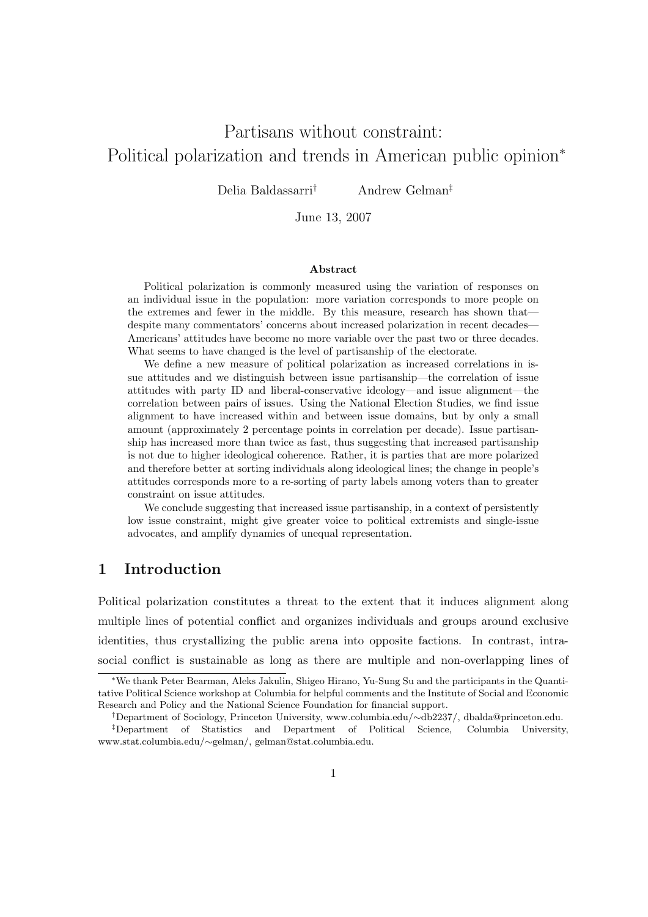# Partisans without constraint: Political polarization and trends in American public opinion<sup>∗</sup>

Delia Baldassarri† Andrew Gelman‡

June 13, 2007

## Abstract

Political polarization is commonly measured using the variation of responses on an individual issue in the population: more variation corresponds to more people on the extremes and fewer in the middle. By this measure, research has shown that despite many commentators' concerns about increased polarization in recent decades— Americans' attitudes have become no more variable over the past two or three decades. What seems to have changed is the level of partisanship of the electorate.

We define a new measure of political polarization as increased correlations in issue attitudes and we distinguish between issue partisanship—the correlation of issue attitudes with party ID and liberal-conservative ideology—and issue alignment—the correlation between pairs of issues. Using the National Election Studies, we find issue alignment to have increased within and between issue domains, but by only a small amount (approximately 2 percentage points in correlation per decade). Issue partisanship has increased more than twice as fast, thus suggesting that increased partisanship is not due to higher ideological coherence. Rather, it is parties that are more polarized and therefore better at sorting individuals along ideological lines; the change in people's attitudes corresponds more to a re-sorting of party labels among voters than to greater constraint on issue attitudes.

We conclude suggesting that increased issue partisanship, in a context of persistently low issue constraint, might give greater voice to political extremists and single-issue advocates, and amplify dynamics of unequal representation.

# 1 Introduction

Political polarization constitutes a threat to the extent that it induces alignment along multiple lines of potential conflict and organizes individuals and groups around exclusive identities, thus crystallizing the public arena into opposite factions. In contrast, intrasocial conflict is sustainable as long as there are multiple and non-overlapping lines of

<sup>∗</sup>We thank Peter Bearman, Aleks Jakulin, Shigeo Hirano, Yu-Sung Su and the participants in the Quantitative Political Science workshop at Columbia for helpful comments and the Institute of Social and Economic Research and Policy and the National Science Foundation for financial support.

<sup>†</sup>Department of Sociology, Princeton University, www.columbia.edu/∼db2237/, dbalda@princeton.edu.

<sup>‡</sup>Department of Statistics and Department of Political Science, Columbia University, www.stat.columbia.edu/∼gelman/, gelman@stat.columbia.edu.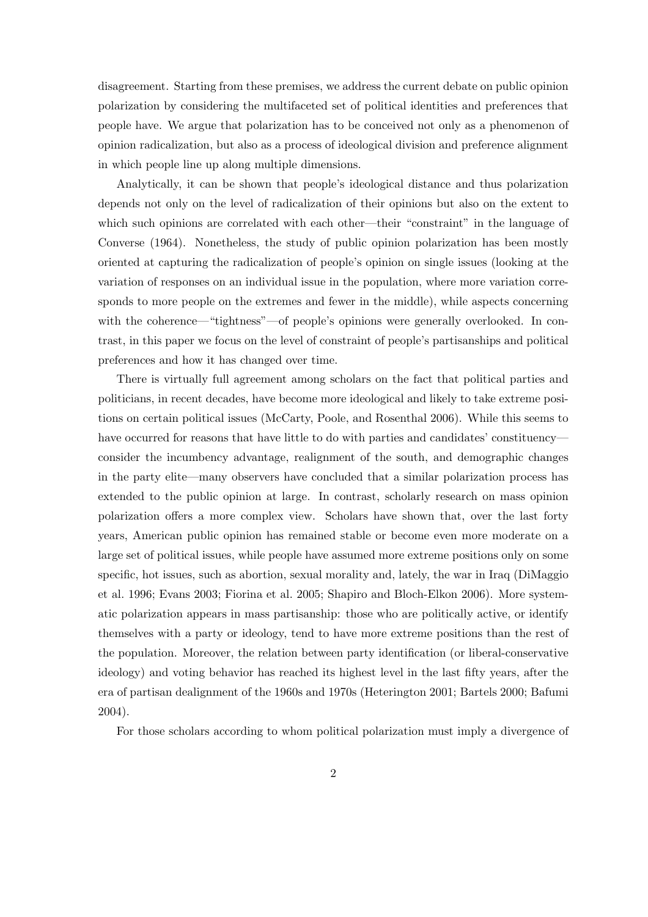disagreement. Starting from these premises, we address the current debate on public opinion polarization by considering the multifaceted set of political identities and preferences that people have. We argue that polarization has to be conceived not only as a phenomenon of opinion radicalization, but also as a process of ideological division and preference alignment in which people line up along multiple dimensions.

Analytically, it can be shown that people's ideological distance and thus polarization depends not only on the level of radicalization of their opinions but also on the extent to which such opinions are correlated with each other—their "constraint" in the language of Converse (1964). Nonetheless, the study of public opinion polarization has been mostly oriented at capturing the radicalization of people's opinion on single issues (looking at the variation of responses on an individual issue in the population, where more variation corresponds to more people on the extremes and fewer in the middle), while aspects concerning with the coherence—"tightness"—of people's opinions were generally overlooked. In contrast, in this paper we focus on the level of constraint of people's partisanships and political preferences and how it has changed over time.

There is virtually full agreement among scholars on the fact that political parties and politicians, in recent decades, have become more ideological and likely to take extreme positions on certain political issues (McCarty, Poole, and Rosenthal 2006). While this seems to have occurred for reasons that have little to do with parties and candidates' constituency consider the incumbency advantage, realignment of the south, and demographic changes in the party elite—many observers have concluded that a similar polarization process has extended to the public opinion at large. In contrast, scholarly research on mass opinion polarization offers a more complex view. Scholars have shown that, over the last forty years, American public opinion has remained stable or become even more moderate on a large set of political issues, while people have assumed more extreme positions only on some specific, hot issues, such as abortion, sexual morality and, lately, the war in Iraq (DiMaggio et al. 1996; Evans 2003; Fiorina et al. 2005; Shapiro and Bloch-Elkon 2006). More systematic polarization appears in mass partisanship: those who are politically active, or identify themselves with a party or ideology, tend to have more extreme positions than the rest of the population. Moreover, the relation between party identification (or liberal-conservative ideology) and voting behavior has reached its highest level in the last fifty years, after the era of partisan dealignment of the 1960s and 1970s (Heterington 2001; Bartels 2000; Bafumi 2004).

For those scholars according to whom political polarization must imply a divergence of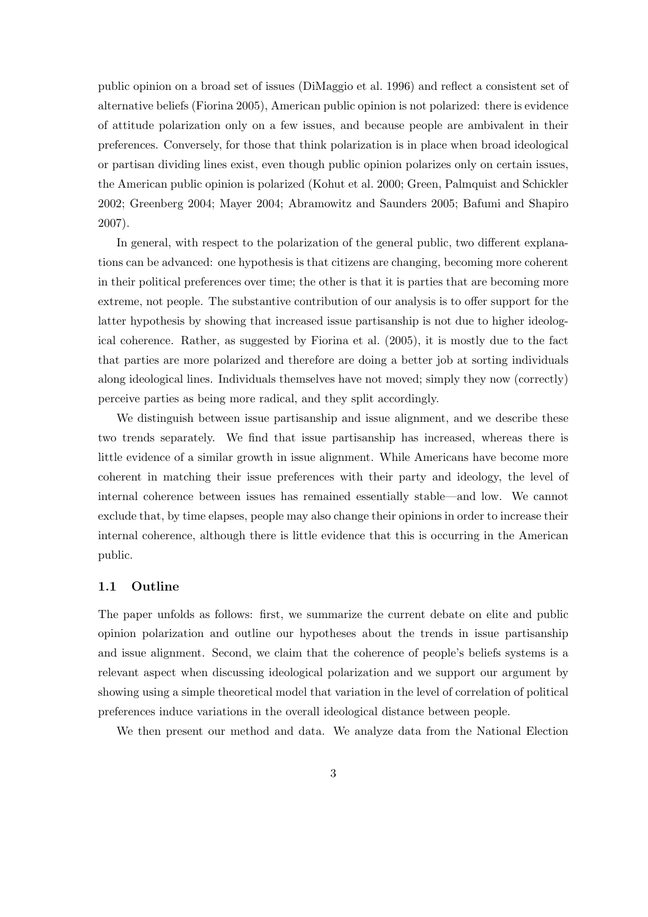public opinion on a broad set of issues (DiMaggio et al. 1996) and reflect a consistent set of alternative beliefs (Fiorina 2005), American public opinion is not polarized: there is evidence of attitude polarization only on a few issues, and because people are ambivalent in their preferences. Conversely, for those that think polarization is in place when broad ideological or partisan dividing lines exist, even though public opinion polarizes only on certain issues, the American public opinion is polarized (Kohut et al. 2000; Green, Palmquist and Schickler 2002; Greenberg 2004; Mayer 2004; Abramowitz and Saunders 2005; Bafumi and Shapiro 2007).

In general, with respect to the polarization of the general public, two different explanations can be advanced: one hypothesis is that citizens are changing, becoming more coherent in their political preferences over time; the other is that it is parties that are becoming more extreme, not people. The substantive contribution of our analysis is to offer support for the latter hypothesis by showing that increased issue partisanship is not due to higher ideological coherence. Rather, as suggested by Fiorina et al. (2005), it is mostly due to the fact that parties are more polarized and therefore are doing a better job at sorting individuals along ideological lines. Individuals themselves have not moved; simply they now (correctly) perceive parties as being more radical, and they split accordingly.

We distinguish between issue partisanship and issue alignment, and we describe these two trends separately. We find that issue partisanship has increased, whereas there is little evidence of a similar growth in issue alignment. While Americans have become more coherent in matching their issue preferences with their party and ideology, the level of internal coherence between issues has remained essentially stable—and low. We cannot exclude that, by time elapses, people may also change their opinions in order to increase their internal coherence, although there is little evidence that this is occurring in the American public.

#### 1.1 Outline

The paper unfolds as follows: first, we summarize the current debate on elite and public opinion polarization and outline our hypotheses about the trends in issue partisanship and issue alignment. Second, we claim that the coherence of people's beliefs systems is a relevant aspect when discussing ideological polarization and we support our argument by showing using a simple theoretical model that variation in the level of correlation of political preferences induce variations in the overall ideological distance between people.

We then present our method and data. We analyze data from the National Election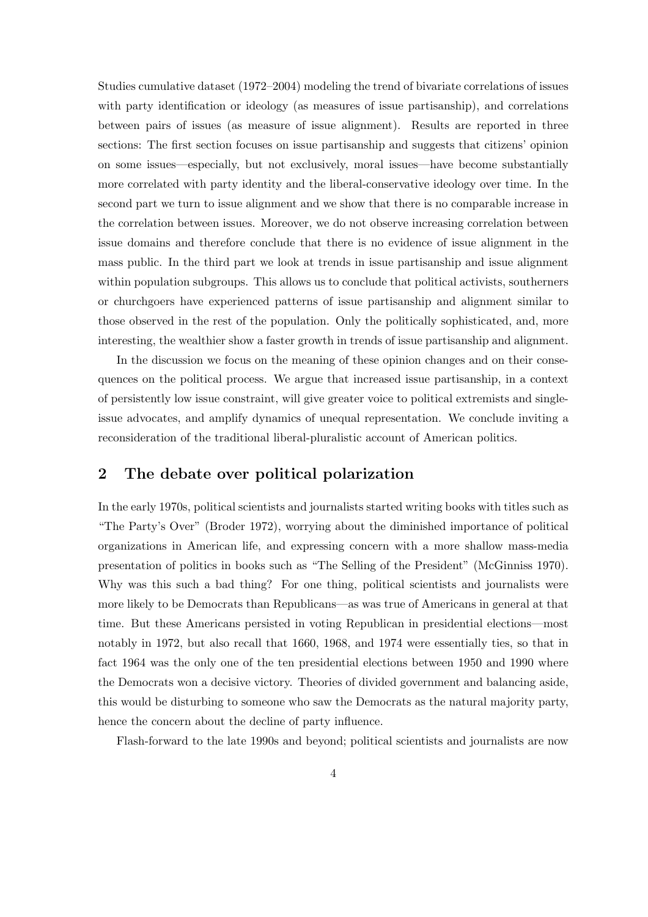Studies cumulative dataset (1972–2004) modeling the trend of bivariate correlations of issues with party identification or ideology (as measures of issue partisanship), and correlations between pairs of issues (as measure of issue alignment). Results are reported in three sections: The first section focuses on issue partisanship and suggests that citizens' opinion on some issues—especially, but not exclusively, moral issues—have become substantially more correlated with party identity and the liberal-conservative ideology over time. In the second part we turn to issue alignment and we show that there is no comparable increase in the correlation between issues. Moreover, we do not observe increasing correlation between issue domains and therefore conclude that there is no evidence of issue alignment in the mass public. In the third part we look at trends in issue partisanship and issue alignment within population subgroups. This allows us to conclude that political activists, southerners or churchgoers have experienced patterns of issue partisanship and alignment similar to those observed in the rest of the population. Only the politically sophisticated, and, more interesting, the wealthier show a faster growth in trends of issue partisanship and alignment.

In the discussion we focus on the meaning of these opinion changes and on their consequences on the political process. We argue that increased issue partisanship, in a context of persistently low issue constraint, will give greater voice to political extremists and singleissue advocates, and amplify dynamics of unequal representation. We conclude inviting a reconsideration of the traditional liberal-pluralistic account of American politics.

# 2 The debate over political polarization

In the early 1970s, political scientists and journalists started writing books with titles such as "The Party's Over" (Broder 1972), worrying about the diminished importance of political organizations in American life, and expressing concern with a more shallow mass-media presentation of politics in books such as "The Selling of the President" (McGinniss 1970). Why was this such a bad thing? For one thing, political scientists and journalists were more likely to be Democrats than Republicans—as was true of Americans in general at that time. But these Americans persisted in voting Republican in presidential elections—most notably in 1972, but also recall that 1660, 1968, and 1974 were essentially ties, so that in fact 1964 was the only one of the ten presidential elections between 1950 and 1990 where the Democrats won a decisive victory. Theories of divided government and balancing aside, this would be disturbing to someone who saw the Democrats as the natural majority party, hence the concern about the decline of party influence.

Flash-forward to the late 1990s and beyond; political scientists and journalists are now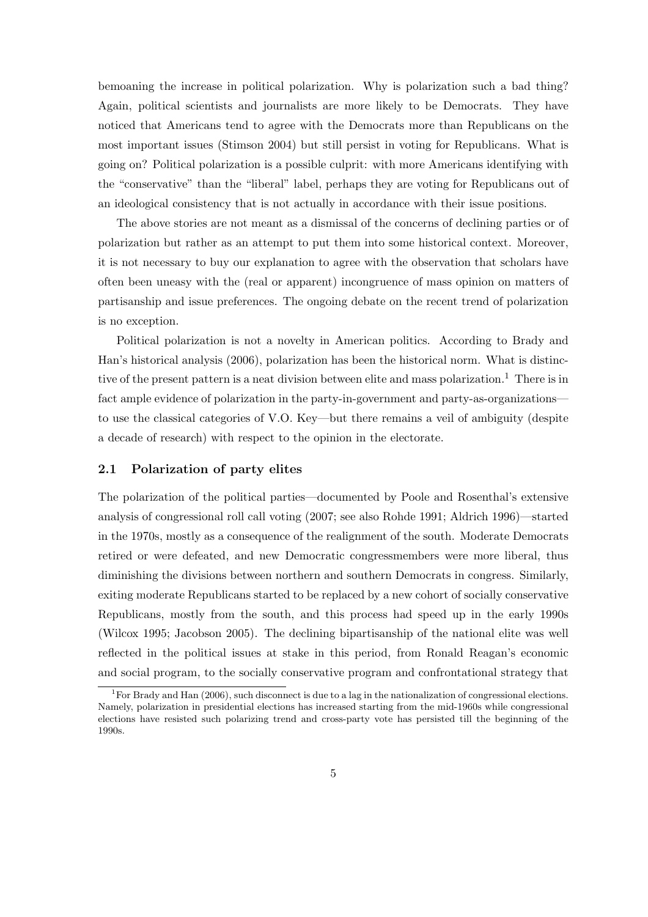bemoaning the increase in political polarization. Why is polarization such a bad thing? Again, political scientists and journalists are more likely to be Democrats. They have noticed that Americans tend to agree with the Democrats more than Republicans on the most important issues (Stimson 2004) but still persist in voting for Republicans. What is going on? Political polarization is a possible culprit: with more Americans identifying with the "conservative" than the "liberal" label, perhaps they are voting for Republicans out of an ideological consistency that is not actually in accordance with their issue positions.

The above stories are not meant as a dismissal of the concerns of declining parties or of polarization but rather as an attempt to put them into some historical context. Moreover, it is not necessary to buy our explanation to agree with the observation that scholars have often been uneasy with the (real or apparent) incongruence of mass opinion on matters of partisanship and issue preferences. The ongoing debate on the recent trend of polarization is no exception.

Political polarization is not a novelty in American politics. According to Brady and Han's historical analysis (2006), polarization has been the historical norm. What is distinctive of the present pattern is a neat division between elite and mass polarization.<sup>1</sup> There is in fact ample evidence of polarization in the party-in-government and party-as-organizations to use the classical categories of V.O. Key—but there remains a veil of ambiguity (despite a decade of research) with respect to the opinion in the electorate.

## 2.1 Polarization of party elites

The polarization of the political parties—documented by Poole and Rosenthal's extensive analysis of congressional roll call voting (2007; see also Rohde 1991; Aldrich 1996)—started in the 1970s, mostly as a consequence of the realignment of the south. Moderate Democrats retired or were defeated, and new Democratic congressmembers were more liberal, thus diminishing the divisions between northern and southern Democrats in congress. Similarly, exiting moderate Republicans started to be replaced by a new cohort of socially conservative Republicans, mostly from the south, and this process had speed up in the early 1990s (Wilcox 1995; Jacobson 2005). The declining bipartisanship of the national elite was well reflected in the political issues at stake in this period, from Ronald Reagan's economic and social program, to the socially conservative program and confrontational strategy that

<sup>&</sup>lt;sup>1</sup>For Brady and Han  $(2006)$ , such disconnect is due to a lag in the nationalization of congressional elections. Namely, polarization in presidential elections has increased starting from the mid-1960s while congressional elections have resisted such polarizing trend and cross-party vote has persisted till the beginning of the 1990s.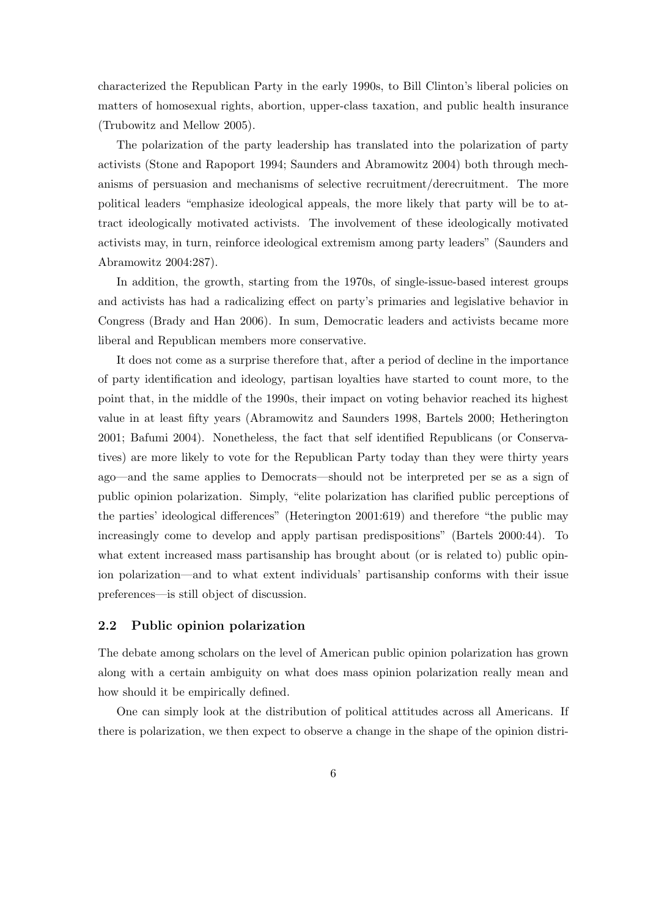characterized the Republican Party in the early 1990s, to Bill Clinton's liberal policies on matters of homosexual rights, abortion, upper-class taxation, and public health insurance (Trubowitz and Mellow 2005).

The polarization of the party leadership has translated into the polarization of party activists (Stone and Rapoport 1994; Saunders and Abramowitz 2004) both through mechanisms of persuasion and mechanisms of selective recruitment/derecruitment. The more political leaders "emphasize ideological appeals, the more likely that party will be to attract ideologically motivated activists. The involvement of these ideologically motivated activists may, in turn, reinforce ideological extremism among party leaders" (Saunders and Abramowitz 2004:287).

In addition, the growth, starting from the 1970s, of single-issue-based interest groups and activists has had a radicalizing effect on party's primaries and legislative behavior in Congress (Brady and Han 2006). In sum, Democratic leaders and activists became more liberal and Republican members more conservative.

It does not come as a surprise therefore that, after a period of decline in the importance of party identification and ideology, partisan loyalties have started to count more, to the point that, in the middle of the 1990s, their impact on voting behavior reached its highest value in at least fifty years (Abramowitz and Saunders 1998, Bartels 2000; Hetherington 2001; Bafumi 2004). Nonetheless, the fact that self identified Republicans (or Conservatives) are more likely to vote for the Republican Party today than they were thirty years ago—and the same applies to Democrats—should not be interpreted per se as a sign of public opinion polarization. Simply, "elite polarization has clarified public perceptions of the parties' ideological differences" (Heterington 2001:619) and therefore "the public may increasingly come to develop and apply partisan predispositions" (Bartels 2000:44). To what extent increased mass partisanship has brought about (or is related to) public opinion polarization—and to what extent individuals' partisanship conforms with their issue preferences—is still object of discussion.

#### 2.2 Public opinion polarization

The debate among scholars on the level of American public opinion polarization has grown along with a certain ambiguity on what does mass opinion polarization really mean and how should it be empirically defined.

One can simply look at the distribution of political attitudes across all Americans. If there is polarization, we then expect to observe a change in the shape of the opinion distri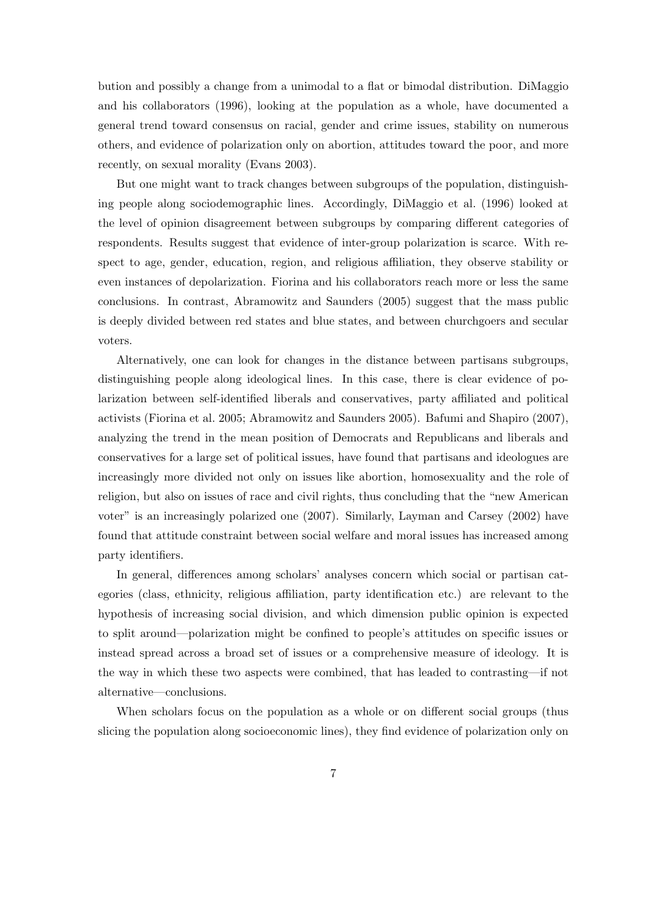bution and possibly a change from a unimodal to a flat or bimodal distribution. DiMaggio and his collaborators (1996), looking at the population as a whole, have documented a general trend toward consensus on racial, gender and crime issues, stability on numerous others, and evidence of polarization only on abortion, attitudes toward the poor, and more recently, on sexual morality (Evans 2003).

But one might want to track changes between subgroups of the population, distinguishing people along sociodemographic lines. Accordingly, DiMaggio et al. (1996) looked at the level of opinion disagreement between subgroups by comparing different categories of respondents. Results suggest that evidence of inter-group polarization is scarce. With respect to age, gender, education, region, and religious affiliation, they observe stability or even instances of depolarization. Fiorina and his collaborators reach more or less the same conclusions. In contrast, Abramowitz and Saunders (2005) suggest that the mass public is deeply divided between red states and blue states, and between churchgoers and secular voters.

Alternatively, one can look for changes in the distance between partisans subgroups, distinguishing people along ideological lines. In this case, there is clear evidence of polarization between self-identified liberals and conservatives, party affiliated and political activists (Fiorina et al. 2005; Abramowitz and Saunders 2005). Bafumi and Shapiro (2007), analyzing the trend in the mean position of Democrats and Republicans and liberals and conservatives for a large set of political issues, have found that partisans and ideologues are increasingly more divided not only on issues like abortion, homosexuality and the role of religion, but also on issues of race and civil rights, thus concluding that the "new American voter" is an increasingly polarized one (2007). Similarly, Layman and Carsey (2002) have found that attitude constraint between social welfare and moral issues has increased among party identifiers.

In general, differences among scholars' analyses concern which social or partisan categories (class, ethnicity, religious affiliation, party identification etc.) are relevant to the hypothesis of increasing social division, and which dimension public opinion is expected to split around—polarization might be confined to people's attitudes on specific issues or instead spread across a broad set of issues or a comprehensive measure of ideology. It is the way in which these two aspects were combined, that has leaded to contrasting—if not alternative—conclusions.

When scholars focus on the population as a whole or on different social groups (thus slicing the population along socioeconomic lines), they find evidence of polarization only on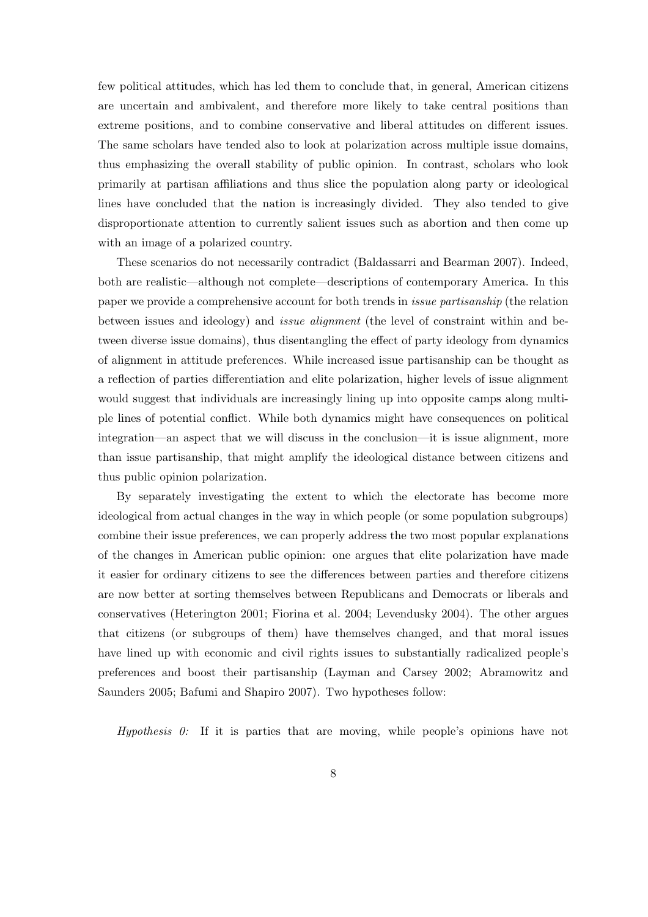few political attitudes, which has led them to conclude that, in general, American citizens are uncertain and ambivalent, and therefore more likely to take central positions than extreme positions, and to combine conservative and liberal attitudes on different issues. The same scholars have tended also to look at polarization across multiple issue domains, thus emphasizing the overall stability of public opinion. In contrast, scholars who look primarily at partisan affiliations and thus slice the population along party or ideological lines have concluded that the nation is increasingly divided. They also tended to give disproportionate attention to currently salient issues such as abortion and then come up with an image of a polarized country.

These scenarios do not necessarily contradict (Baldassarri and Bearman 2007). Indeed, both are realistic—although not complete—descriptions of contemporary America. In this paper we provide a comprehensive account for both trends in issue partisanship (the relation between issues and ideology) and issue alignment (the level of constraint within and between diverse issue domains), thus disentangling the effect of party ideology from dynamics of alignment in attitude preferences. While increased issue partisanship can be thought as a reflection of parties differentiation and elite polarization, higher levels of issue alignment would suggest that individuals are increasingly lining up into opposite camps along multiple lines of potential conflict. While both dynamics might have consequences on political integration—an aspect that we will discuss in the conclusion—it is issue alignment, more than issue partisanship, that might amplify the ideological distance between citizens and thus public opinion polarization.

By separately investigating the extent to which the electorate has become more ideological from actual changes in the way in which people (or some population subgroups) combine their issue preferences, we can properly address the two most popular explanations of the changes in American public opinion: one argues that elite polarization have made it easier for ordinary citizens to see the differences between parties and therefore citizens are now better at sorting themselves between Republicans and Democrats or liberals and conservatives (Heterington 2001; Fiorina et al. 2004; Levendusky 2004). The other argues that citizens (or subgroups of them) have themselves changed, and that moral issues have lined up with economic and civil rights issues to substantially radicalized people's preferences and boost their partisanship (Layman and Carsey 2002; Abramowitz and Saunders 2005; Bafumi and Shapiro 2007). Two hypotheses follow:

Hypothesis  $\theta$ : If it is parties that are moving, while people's opinions have not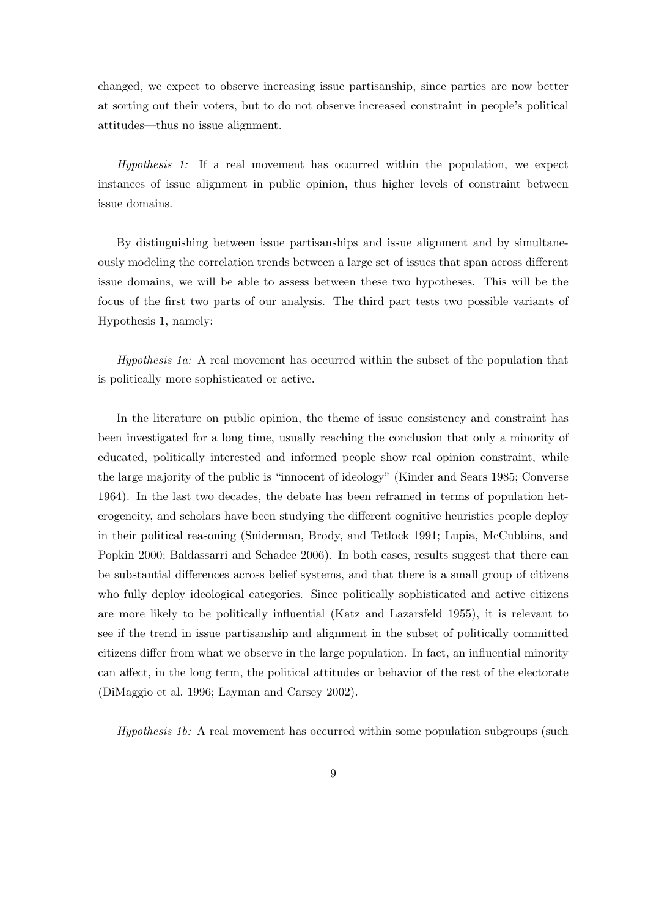changed, we expect to observe increasing issue partisanship, since parties are now better at sorting out their voters, but to do not observe increased constraint in people's political attitudes—thus no issue alignment.

Hypothesis 1: If a real movement has occurred within the population, we expect instances of issue alignment in public opinion, thus higher levels of constraint between issue domains.

By distinguishing between issue partisanships and issue alignment and by simultaneously modeling the correlation trends between a large set of issues that span across different issue domains, we will be able to assess between these two hypotheses. This will be the focus of the first two parts of our analysis. The third part tests two possible variants of Hypothesis 1, namely:

Hypothesis 1a: A real movement has occurred within the subset of the population that is politically more sophisticated or active.

In the literature on public opinion, the theme of issue consistency and constraint has been investigated for a long time, usually reaching the conclusion that only a minority of educated, politically interested and informed people show real opinion constraint, while the large majority of the public is "innocent of ideology" (Kinder and Sears 1985; Converse 1964). In the last two decades, the debate has been reframed in terms of population heterogeneity, and scholars have been studying the different cognitive heuristics people deploy in their political reasoning (Sniderman, Brody, and Tetlock 1991; Lupia, McCubbins, and Popkin 2000; Baldassarri and Schadee 2006). In both cases, results suggest that there can be substantial differences across belief systems, and that there is a small group of citizens who fully deploy ideological categories. Since politically sophisticated and active citizens are more likely to be politically influential (Katz and Lazarsfeld 1955), it is relevant to see if the trend in issue partisanship and alignment in the subset of politically committed citizens differ from what we observe in the large population. In fact, an influential minority can affect, in the long term, the political attitudes or behavior of the rest of the electorate (DiMaggio et al. 1996; Layman and Carsey 2002).

Hypothesis 1b: A real movement has occurred within some population subgroups (such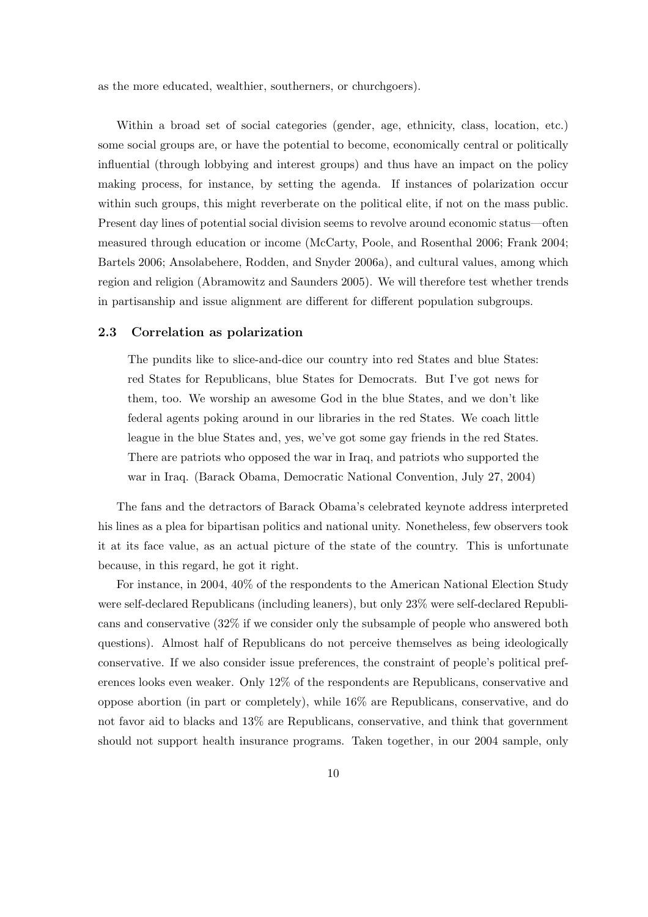as the more educated, wealthier, southerners, or churchgoers).

Within a broad set of social categories (gender, age, ethnicity, class, location, etc.) some social groups are, or have the potential to become, economically central or politically influential (through lobbying and interest groups) and thus have an impact on the policy making process, for instance, by setting the agenda. If instances of polarization occur within such groups, this might reverberate on the political elite, if not on the mass public. Present day lines of potential social division seems to revolve around economic status—often measured through education or income (McCarty, Poole, and Rosenthal 2006; Frank 2004; Bartels 2006; Ansolabehere, Rodden, and Snyder 2006a), and cultural values, among which region and religion (Abramowitz and Saunders 2005). We will therefore test whether trends in partisanship and issue alignment are different for different population subgroups.

## 2.3 Correlation as polarization

The pundits like to slice-and-dice our country into red States and blue States: red States for Republicans, blue States for Democrats. But I've got news for them, too. We worship an awesome God in the blue States, and we don't like federal agents poking around in our libraries in the red States. We coach little league in the blue States and, yes, we've got some gay friends in the red States. There are patriots who opposed the war in Iraq, and patriots who supported the war in Iraq. (Barack Obama, Democratic National Convention, July 27, 2004)

The fans and the detractors of Barack Obama's celebrated keynote address interpreted his lines as a plea for bipartisan politics and national unity. Nonetheless, few observers took it at its face value, as an actual picture of the state of the country. This is unfortunate because, in this regard, he got it right.

For instance, in 2004, 40% of the respondents to the American National Election Study were self-declared Republicans (including leaners), but only 23% were self-declared Republicans and conservative (32% if we consider only the subsample of people who answered both questions). Almost half of Republicans do not perceive themselves as being ideologically conservative. If we also consider issue preferences, the constraint of people's political preferences looks even weaker. Only 12% of the respondents are Republicans, conservative and oppose abortion (in part or completely), while 16% are Republicans, conservative, and do not favor aid to blacks and 13% are Republicans, conservative, and think that government should not support health insurance programs. Taken together, in our 2004 sample, only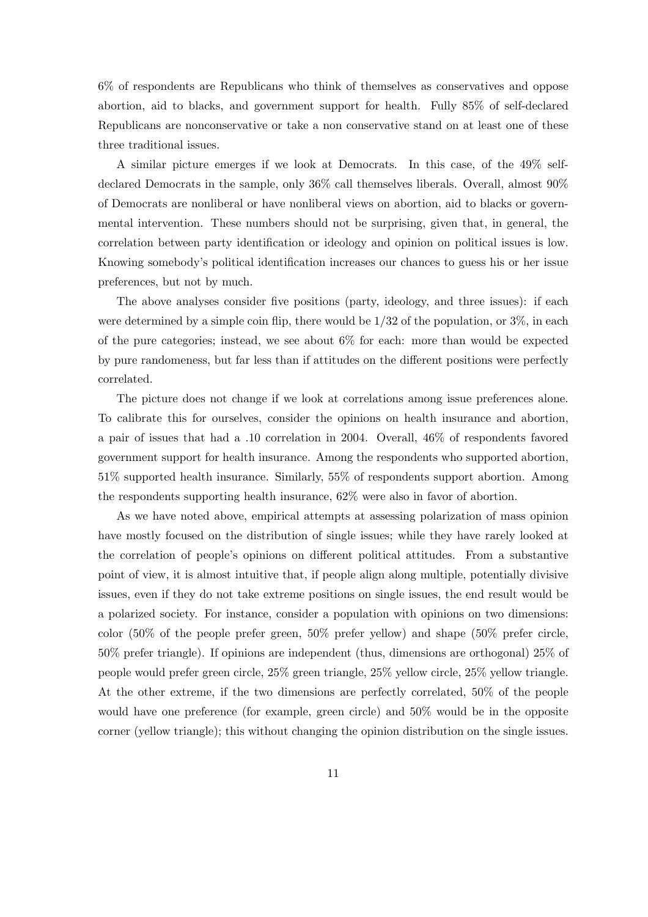6% of respondents are Republicans who think of themselves as conservatives and oppose abortion, aid to blacks, and government support for health. Fully 85% of self-declared Republicans are nonconservative or take a non conservative stand on at least one of these three traditional issues.

A similar picture emerges if we look at Democrats. In this case, of the 49% selfdeclared Democrats in the sample, only 36% call themselves liberals. Overall, almost 90% of Democrats are nonliberal or have nonliberal views on abortion, aid to blacks or governmental intervention. These numbers should not be surprising, given that, in general, the correlation between party identification or ideology and opinion on political issues is low. Knowing somebody's political identification increases our chances to guess his or her issue preferences, but not by much.

The above analyses consider five positions (party, ideology, and three issues): if each were determined by a simple coin flip, there would be  $1/32$  of the population, or  $3\%$ , in each of the pure categories; instead, we see about  $6\%$  for each: more than would be expected by pure randomeness, but far less than if attitudes on the different positions were perfectly correlated.

The picture does not change if we look at correlations among issue preferences alone. To calibrate this for ourselves, consider the opinions on health insurance and abortion, a pair of issues that had a .10 correlation in 2004. Overall, 46% of respondents favored government support for health insurance. Among the respondents who supported abortion, 51% supported health insurance. Similarly, 55% of respondents support abortion. Among the respondents supporting health insurance, 62% were also in favor of abortion.

As we have noted above, empirical attempts at assessing polarization of mass opinion have mostly focused on the distribution of single issues; while they have rarely looked at the correlation of people's opinions on different political attitudes. From a substantive point of view, it is almost intuitive that, if people align along multiple, potentially divisive issues, even if they do not take extreme positions on single issues, the end result would be a polarized society. For instance, consider a population with opinions on two dimensions: color (50% of the people prefer green, 50% prefer yellow) and shape (50% prefer circle, 50% prefer triangle). If opinions are independent (thus, dimensions are orthogonal) 25% of people would prefer green circle, 25% green triangle, 25% yellow circle, 25% yellow triangle. At the other extreme, if the two dimensions are perfectly correlated, 50% of the people would have one preference (for example, green circle) and 50% would be in the opposite corner (yellow triangle); this without changing the opinion distribution on the single issues.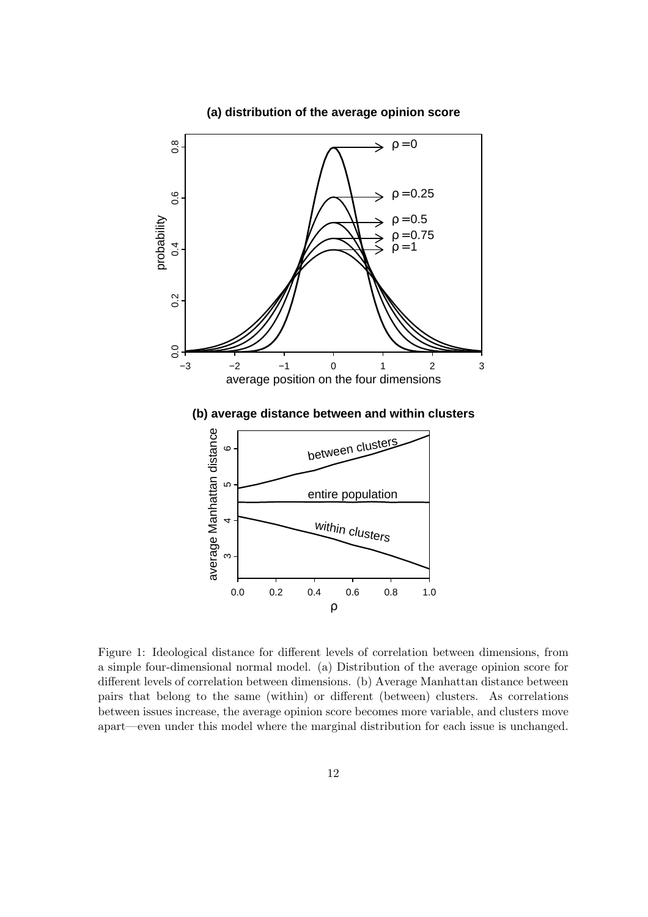

# **(a) distribution of the average opinion score**

Figure 1: Ideological distance for different levels of correlation between dimensions, from a simple four-dimensional normal model. (a) Distribution of the average opinion score for different levels of correlation between dimensions. (b) Average Manhattan distance between pairs that belong to the same (within) or different (between) clusters. As correlations between issues increase, the average opinion score becomes more variable, and clusters move apart—even under this model where the marginal distribution for each issue is unchanged.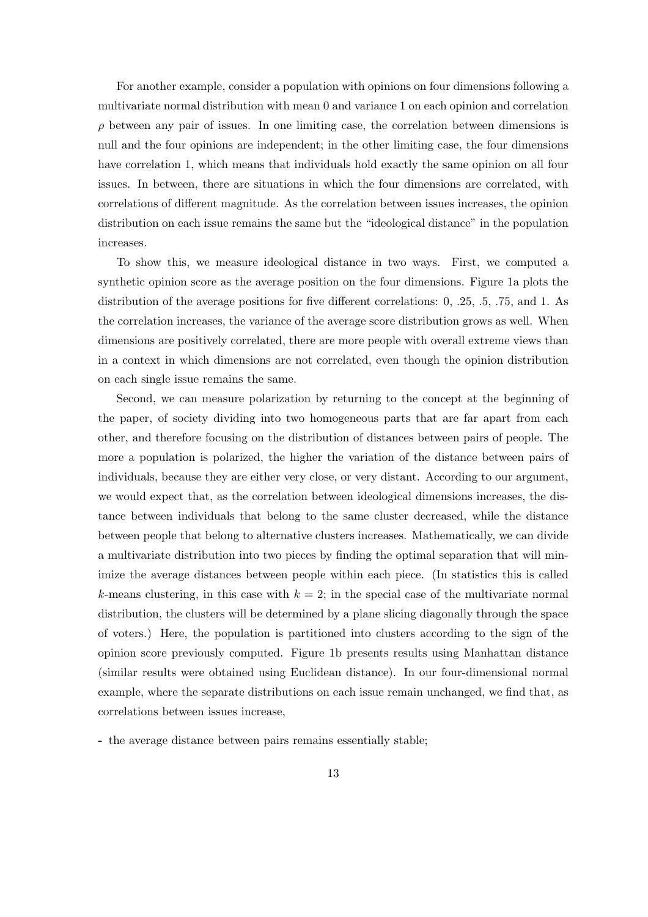For another example, consider a population with opinions on four dimensions following a multivariate normal distribution with mean 0 and variance 1 on each opinion and correlation  $\rho$  between any pair of issues. In one limiting case, the correlation between dimensions is null and the four opinions are independent; in the other limiting case, the four dimensions have correlation 1, which means that individuals hold exactly the same opinion on all four issues. In between, there are situations in which the four dimensions are correlated, with correlations of different magnitude. As the correlation between issues increases, the opinion distribution on each issue remains the same but the "ideological distance" in the population increases.

To show this, we measure ideological distance in two ways. First, we computed a synthetic opinion score as the average position on the four dimensions. Figure 1a plots the distribution of the average positions for five different correlations: 0, .25, .5, .75, and 1. As the correlation increases, the variance of the average score distribution grows as well. When dimensions are positively correlated, there are more people with overall extreme views than in a context in which dimensions are not correlated, even though the opinion distribution on each single issue remains the same.

Second, we can measure polarization by returning to the concept at the beginning of the paper, of society dividing into two homogeneous parts that are far apart from each other, and therefore focusing on the distribution of distances between pairs of people. The more a population is polarized, the higher the variation of the distance between pairs of individuals, because they are either very close, or very distant. According to our argument, we would expect that, as the correlation between ideological dimensions increases, the distance between individuals that belong to the same cluster decreased, while the distance between people that belong to alternative clusters increases. Mathematically, we can divide a multivariate distribution into two pieces by finding the optimal separation that will minimize the average distances between people within each piece. (In statistics this is called k-means clustering, in this case with  $k = 2$ ; in the special case of the multivariate normal distribution, the clusters will be determined by a plane slicing diagonally through the space of voters.) Here, the population is partitioned into clusters according to the sign of the opinion score previously computed. Figure 1b presents results using Manhattan distance (similar results were obtained using Euclidean distance). In our four-dimensional normal example, where the separate distributions on each issue remain unchanged, we find that, as correlations between issues increase,

- the average distance between pairs remains essentially stable;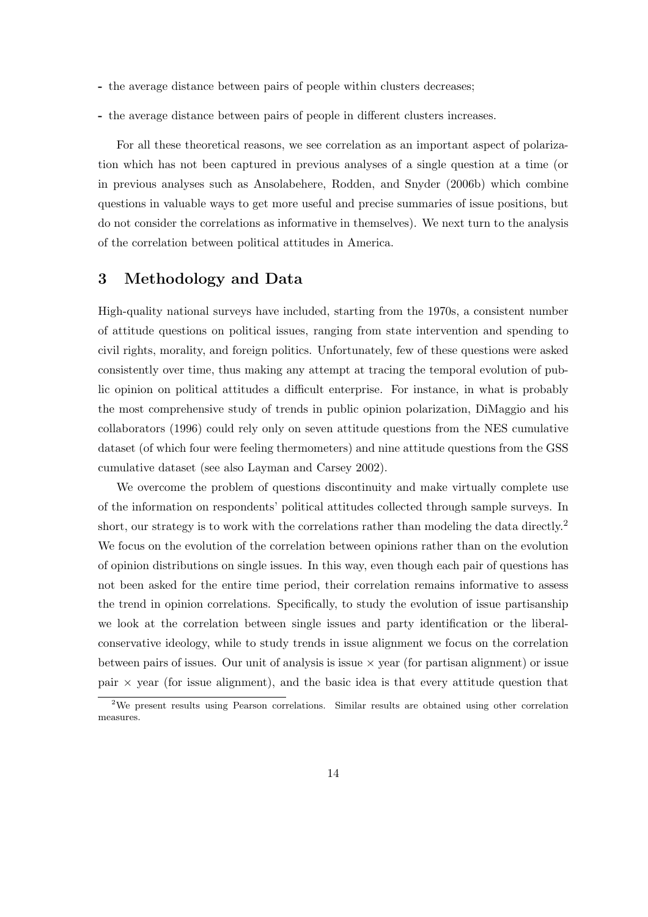- the average distance between pairs of people within clusters decreases;
- the average distance between pairs of people in different clusters increases.

For all these theoretical reasons, we see correlation as an important aspect of polarization which has not been captured in previous analyses of a single question at a time (or in previous analyses such as Ansolabehere, Rodden, and Snyder (2006b) which combine questions in valuable ways to get more useful and precise summaries of issue positions, but do not consider the correlations as informative in themselves). We next turn to the analysis of the correlation between political attitudes in America.

# 3 Methodology and Data

High-quality national surveys have included, starting from the 1970s, a consistent number of attitude questions on political issues, ranging from state intervention and spending to civil rights, morality, and foreign politics. Unfortunately, few of these questions were asked consistently over time, thus making any attempt at tracing the temporal evolution of public opinion on political attitudes a difficult enterprise. For instance, in what is probably the most comprehensive study of trends in public opinion polarization, DiMaggio and his collaborators (1996) could rely only on seven attitude questions from the NES cumulative dataset (of which four were feeling thermometers) and nine attitude questions from the GSS cumulative dataset (see also Layman and Carsey 2002).

We overcome the problem of questions discontinuity and make virtually complete use of the information on respondents' political attitudes collected through sample surveys. In short, our strategy is to work with the correlations rather than modeling the data directly.<sup>2</sup> We focus on the evolution of the correlation between opinions rather than on the evolution of opinion distributions on single issues. In this way, even though each pair of questions has not been asked for the entire time period, their correlation remains informative to assess the trend in opinion correlations. Specifically, to study the evolution of issue partisanship we look at the correlation between single issues and party identification or the liberalconservative ideology, while to study trends in issue alignment we focus on the correlation between pairs of issues. Our unit of analysis is issue  $\times$  year (for partisan alignment) or issue pair  $\times$  year (for issue alignment), and the basic idea is that every attitude question that

<sup>&</sup>lt;sup>2</sup>We present results using Pearson correlations. Similar results are obtained using other correlation measures.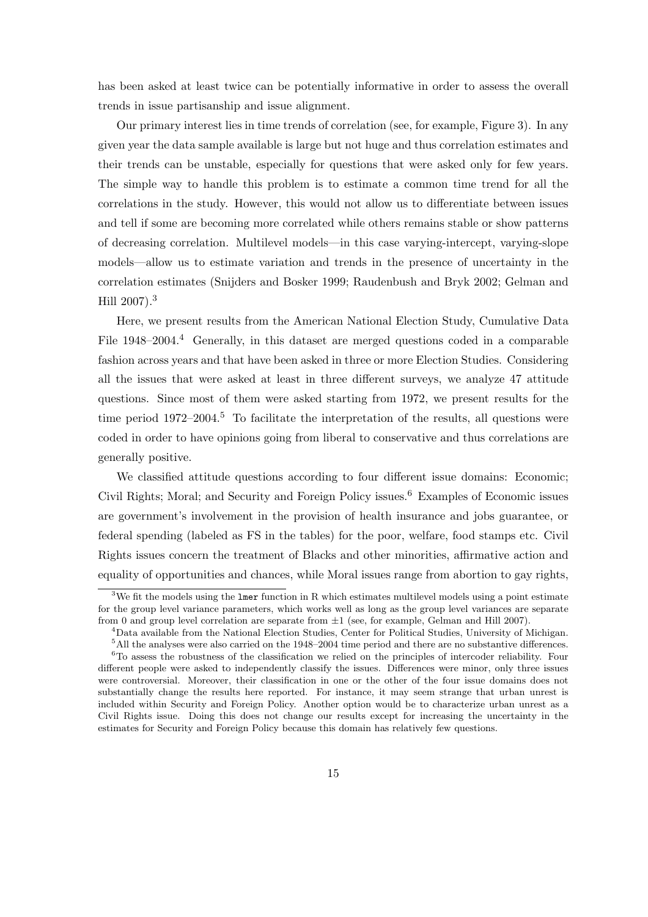has been asked at least twice can be potentially informative in order to assess the overall trends in issue partisanship and issue alignment.

Our primary interest lies in time trends of correlation (see, for example, Figure 3). In any given year the data sample available is large but not huge and thus correlation estimates and their trends can be unstable, especially for questions that were asked only for few years. The simple way to handle this problem is to estimate a common time trend for all the correlations in the study. However, this would not allow us to differentiate between issues and tell if some are becoming more correlated while others remains stable or show patterns of decreasing correlation. Multilevel models—in this case varying-intercept, varying-slope models—allow us to estimate variation and trends in the presence of uncertainty in the correlation estimates (Snijders and Bosker 1999; Raudenbush and Bryk 2002; Gelman and Hill 2007).<sup>3</sup>

Here, we present results from the American National Election Study, Cumulative Data File 1948–2004.<sup>4</sup> Generally, in this dataset are merged questions coded in a comparable fashion across years and that have been asked in three or more Election Studies. Considering all the issues that were asked at least in three different surveys, we analyze 47 attitude questions. Since most of them were asked starting from 1972, we present results for the time period  $1972-2004$ <sup>5</sup> To facilitate the interpretation of the results, all questions were coded in order to have opinions going from liberal to conservative and thus correlations are generally positive.

We classified attitude questions according to four different issue domains: Economic; Civil Rights; Moral; and Security and Foreign Policy issues. <sup>6</sup> Examples of Economic issues are government's involvement in the provision of health insurance and jobs guarantee, or federal spending (labeled as FS in the tables) for the poor, welfare, food stamps etc. Civil Rights issues concern the treatment of Blacks and other minorities, affirmative action and equality of opportunities and chances, while Moral issues range from abortion to gay rights,

<sup>&</sup>lt;sup>3</sup>We fit the models using the lmer function in R which estimates multilevel models using a point estimate for the group level variance parameters, which works well as long as the group level variances are separate from 0 and group level correlation are separate from  $\pm 1$  (see, for example, Gelman and Hill 2007).

<sup>4</sup>Data available from the National Election Studies, Center for Political Studies, University of Michigan.

 $^{5}\mathrm{All}$  the analyses were also carried on the 1948–2004 time period and there are no substantive differences. <sup>6</sup>To assess the robustness of the classification we relied on the principles of intercoder reliability. Four different people were asked to independently classify the issues. Differences were minor, only three issues were controversial. Moreover, their classification in one or the other of the four issue domains does not substantially change the results here reported. For instance, it may seem strange that urban unrest is included within Security and Foreign Policy. Another option would be to characterize urban unrest as a Civil Rights issue. Doing this does not change our results except for increasing the uncertainty in the estimates for Security and Foreign Policy because this domain has relatively few questions.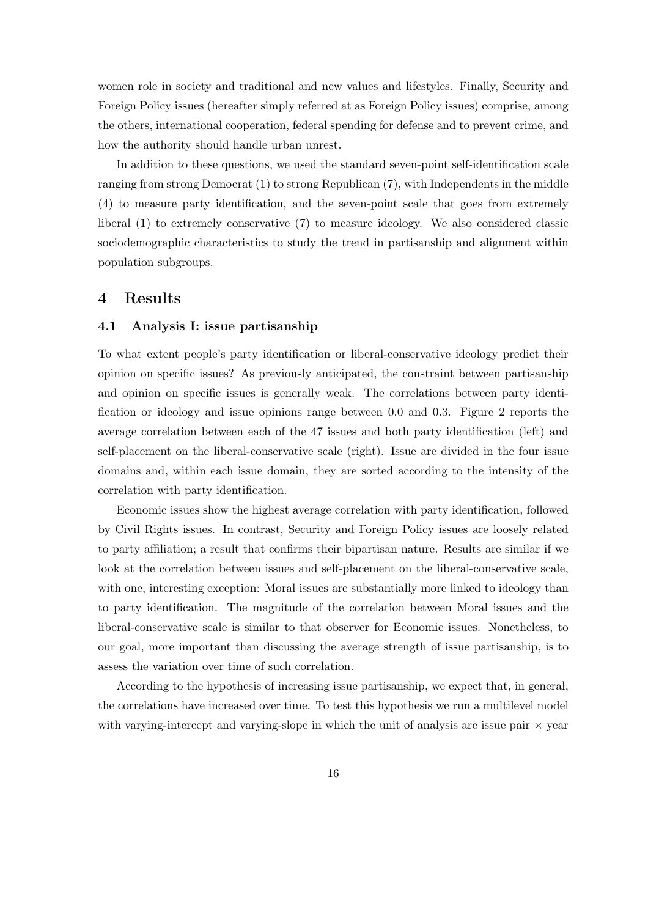women role in society and traditional and new values and lifestyles. Finally, Security and Foreign Policy issues (hereafter simply referred at as Foreign Policy issues) comprise, among the others, international cooperation, federal spending for defense and to prevent crime, and how the authority should handle urban unrest.

In addition to these questions, we used the standard seven-point self-identification scale ranging from strong Democrat (1) to strong Republican (7), with Independents in the middle (4) to measure party identification, and the seven-point scale that goes from extremely liberal (1) to extremely conservative (7) to measure ideology. We also considered classic sociodemographic characteristics to study the trend in partisanship and alignment within population subgroups.

# 4 Results

## 4.1 Analysis I: issue partisanship

To what extent people's party identification or liberal-conservative ideology predict their opinion on specific issues? As previously anticipated, the constraint between partisanship and opinion on specific issues is generally weak. The correlations between party identification or ideology and issue opinions range between 0.0 and 0.3. Figure 2 reports the average correlation between each of the 47 issues and both party identification (left) and self-placement on the liberal-conservative scale (right). Issue are divided in the four issue domains and, within each issue domain, they are sorted according to the intensity of the correlation with party identification.

Economic issues show the highest average correlation with party identification, followed by Civil Rights issues. In contrast, Security and Foreign Policy issues are loosely related to party affiliation; a result that confirms their bipartisan nature. Results are similar if we look at the correlation between issues and self-placement on the liberal-conservative scale, with one, interesting exception: Moral issues are substantially more linked to ideology than to party identification. The magnitude of the correlation between Moral issues and the liberal-conservative scale is similar to that observer for Economic issues. Nonetheless, to our goal, more important than discussing the average strength of issue partisanship, is to assess the variation over time of such correlation.

According to the hypothesis of increasing issue partisanship, we expect that, in general, the correlations have increased over time. To test this hypothesis we run a multilevel model with varying-intercept and varying-slope in which the unit of analysis are issue pair  $\times$  year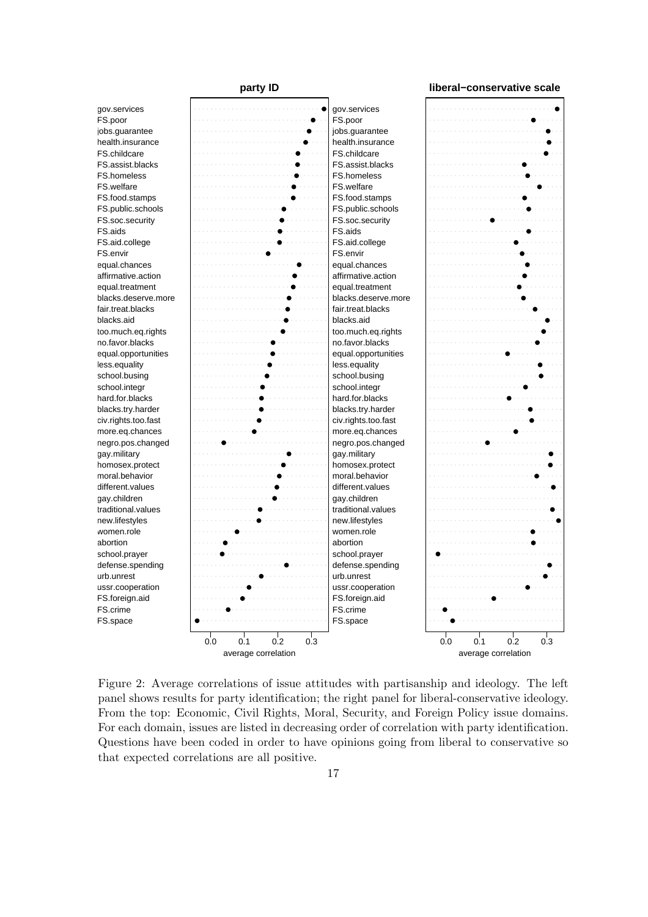|                     | party ID                 |                     | liberal-conservative scale |  |  |
|---------------------|--------------------------|---------------------|----------------------------|--|--|
| gov.services        |                          | gov.services        |                            |  |  |
| FS.poor             |                          | FS.poor             |                            |  |  |
| jobs.guarantee      |                          | jobs.guarantee      |                            |  |  |
| health.insurance    |                          | health.insurance    |                            |  |  |
| FS.childcare        |                          | FS.childcare        |                            |  |  |
| FS.assist.blacks    |                          | FS.assist.blacks    |                            |  |  |
| <b>FS.homeless</b>  |                          | <b>FS.homeless</b>  |                            |  |  |
| FS.welfare          |                          | FS.welfare          |                            |  |  |
| FS.food.stamps      |                          | FS.food.stamps      |                            |  |  |
| FS.public.schools   |                          | FS.public.schools   |                            |  |  |
| FS.soc.security     |                          | FS.soc.security     |                            |  |  |
| FS.aids             |                          | FS.aids             |                            |  |  |
| FS.aid.college      |                          | FS.aid.college      |                            |  |  |
| FS.envir            |                          | FS.envir            |                            |  |  |
| equal.chances       |                          | equal.chances       |                            |  |  |
| affirmative.action  |                          | affirmative.action  |                            |  |  |
| equal.treatment     |                          | equal.treatment     |                            |  |  |
| blacks.deserve.more |                          | blacks.deserve.more |                            |  |  |
| fair.treat.blacks   |                          | fair.treat.blacks   |                            |  |  |
| blacks.aid          |                          | blacks.aid          |                            |  |  |
| too.much.eq.rights  |                          | too.much.eq.rights  |                            |  |  |
| no.favor.blacks     |                          | no.favor.blacks     |                            |  |  |
| equal.opportunities |                          | equal.opportunities |                            |  |  |
| less.equality       |                          | less.equality       |                            |  |  |
| school.busing       |                          | school.busing       |                            |  |  |
| school.integr       |                          | school.integr       |                            |  |  |
| hard.for.blacks     |                          | hard.for.blacks     |                            |  |  |
| blacks.try.harder   |                          | blacks.try.harder   |                            |  |  |
| civ.rights.too.fast |                          | civ.rights.too.fast |                            |  |  |
| more.eq.chances     |                          | more.eq.chances     |                            |  |  |
| negro.pos.changed   |                          | negro.pos.changed   |                            |  |  |
| gay.military        |                          | gay.military        |                            |  |  |
| homosex.protect     |                          | homosex.protect     |                            |  |  |
| moral.behavior      |                          | moral.behavior      |                            |  |  |
| different.values    |                          | different.values    |                            |  |  |
| gay.children        |                          | gay.children        |                            |  |  |
| traditional.values  |                          | traditional.values  |                            |  |  |
| new.lifestyles      |                          | new.lifestyles      |                            |  |  |
| women.role          |                          | women.role          |                            |  |  |
| abortion            |                          | abortion            |                            |  |  |
| school.prayer       |                          | school.prayer       |                            |  |  |
| defense.spending    |                          | defense.spending    |                            |  |  |
| urb.unrest          |                          | urb.unrest          |                            |  |  |
| ussr.cooperation    |                          | ussr.cooperation    |                            |  |  |
| FS.foreign.aid      |                          | FS.foreign.aid      |                            |  |  |
| FS.crime            |                          | FS.crime            |                            |  |  |
| FS.space            |                          | FS.space            |                            |  |  |
|                     |                          |                     |                            |  |  |
|                     | 0.3<br>0.2<br>0.0<br>0.1 |                     | 0.0<br>0.3<br>0.1<br>0.2   |  |  |
|                     | average correlation      |                     | average correlation        |  |  |

Figure 2: Average correlations of issue attitudes with partisanship and ideology. The left panel shows results for party identification; the right panel for liberal-conservative ideology. From the top: Economic, Civil Rights, Moral, Security, and Foreign Policy issue domains. For each domain, issues are listed in decreasing order of correlation with party identification. Questions have been coded in order to have opinions going from liberal to conservative so that expected correlations are all positive.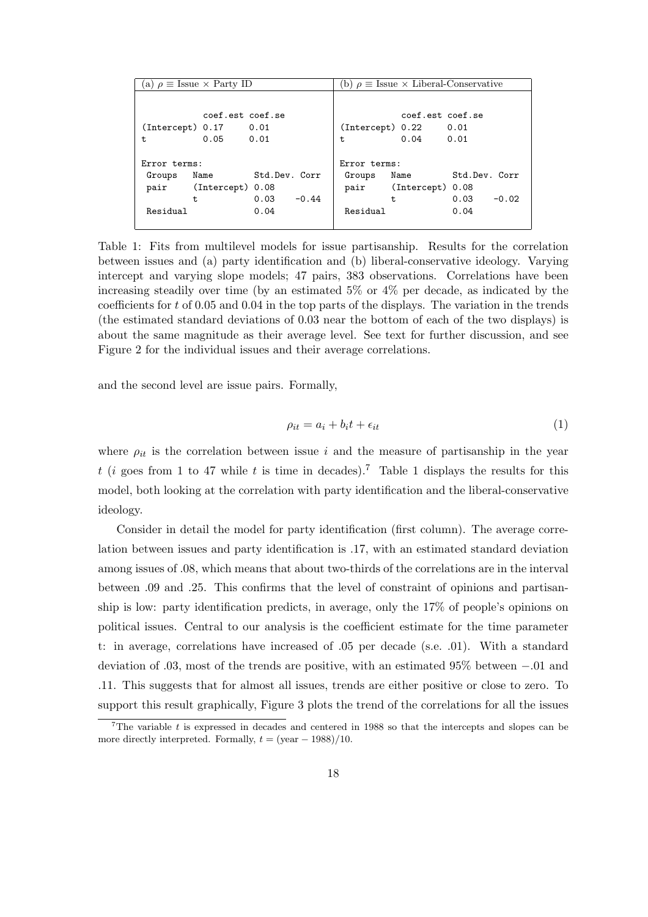|                  | (a) $\rho \equiv$ Issue $\times$ Party ID |                 | b) $\rho \equiv$ Issue $\times$ Liberal-Conservative |                  |                 |  |
|------------------|-------------------------------------------|-----------------|------------------------------------------------------|------------------|-----------------|--|
|                  |                                           |                 |                                                      |                  |                 |  |
|                  | coef.est coef.se                          |                 |                                                      | coef.est coef.se |                 |  |
| (Intercept) 0.17 |                                           | 0.01            | (Intercept) 0.22                                     |                  | 0.01            |  |
| t                | 0.05                                      | 0.01            | t                                                    | 0.04             | 0.01            |  |
|                  |                                           |                 |                                                      |                  |                 |  |
| Error terms:     |                                           |                 | Error terms:                                         |                  |                 |  |
| Groups           | Name                                      | Std.Dev. Corr   | Groups                                               | Name             | Std.Dev. Corr   |  |
| pair             | (Intercept) 0.08                          |                 | pair                                                 | (Intercept) 0.08 |                 |  |
|                  | t                                         | 0.03<br>$-0.44$ |                                                      | t                | 0.03<br>$-0.02$ |  |
| Residual         |                                           | 0.04            | Residual                                             |                  | 0.04            |  |
|                  |                                           |                 |                                                      |                  |                 |  |

Table 1: Fits from multilevel models for issue partisanship. Results for the correlation between issues and (a) party identification and (b) liberal-conservative ideology. Varying intercept and varying slope models; 47 pairs, 383 observations. Correlations have been increasing steadily over time (by an estimated 5% or 4% per decade, as indicated by the coefficients for  $t$  of 0.05 and 0.04 in the top parts of the displays. The variation in the trends (the estimated standard deviations of 0.03 near the bottom of each of the two displays) is about the same magnitude as their average level. See text for further discussion, and see Figure 2 for the individual issues and their average correlations.

and the second level are issue pairs. Formally,

$$
\rho_{it} = a_i + b_i t + \epsilon_{it} \tag{1}
$$

where  $\rho_{it}$  is the correlation between issue i and the measure of partisanship in the year t (i goes from 1 to 47 while t is time in decades).<sup>7</sup> Table 1 displays the results for this model, both looking at the correlation with party identification and the liberal-conservative ideology.

Consider in detail the model for party identification (first column). The average correlation between issues and party identification is .17, with an estimated standard deviation among issues of .08, which means that about two-thirds of the correlations are in the interval between .09 and .25. This confirms that the level of constraint of opinions and partisanship is low: party identification predicts, in average, only the 17% of people's opinions on political issues. Central to our analysis is the coefficient estimate for the time parameter t: in average, correlations have increased of .05 per decade (s.e. .01). With a standard deviation of .03, most of the trends are positive, with an estimated 95% between −.01 and .11. This suggests that for almost all issues, trends are either positive or close to zero. To support this result graphically, Figure 3 plots the trend of the correlations for all the issues

<sup>&</sup>lt;sup>7</sup>The variable t is expressed in decades and centered in 1988 so that the intercepts and slopes can be more directly interpreted. Formally,  $t = (year - 1988)/10$ .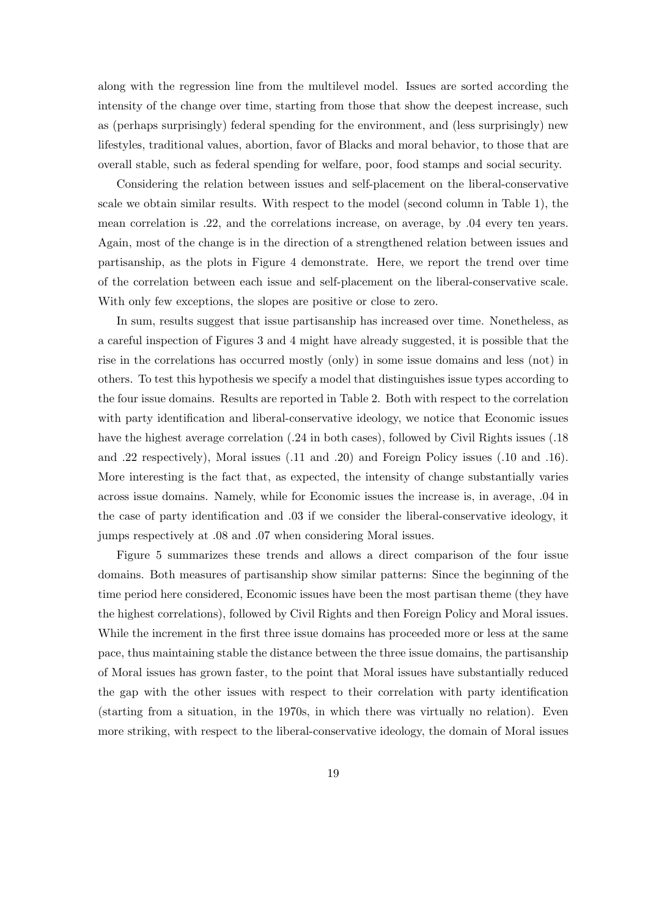along with the regression line from the multilevel model. Issues are sorted according the intensity of the change over time, starting from those that show the deepest increase, such as (perhaps surprisingly) federal spending for the environment, and (less surprisingly) new lifestyles, traditional values, abortion, favor of Blacks and moral behavior, to those that are overall stable, such as federal spending for welfare, poor, food stamps and social security.

Considering the relation between issues and self-placement on the liberal-conservative scale we obtain similar results. With respect to the model (second column in Table 1), the mean correlation is .22, and the correlations increase, on average, by .04 every ten years. Again, most of the change is in the direction of a strengthened relation between issues and partisanship, as the plots in Figure 4 demonstrate. Here, we report the trend over time of the correlation between each issue and self-placement on the liberal-conservative scale. With only few exceptions, the slopes are positive or close to zero.

In sum, results suggest that issue partisanship has increased over time. Nonetheless, as a careful inspection of Figures 3 and 4 might have already suggested, it is possible that the rise in the correlations has occurred mostly (only) in some issue domains and less (not) in others. To test this hypothesis we specify a model that distinguishes issue types according to the four issue domains. Results are reported in Table 2. Both with respect to the correlation with party identification and liberal-conservative ideology, we notice that Economic issues have the highest average correlation (.24 in both cases), followed by Civil Rights issues (.18 and .22 respectively), Moral issues (.11 and .20) and Foreign Policy issues (.10 and .16). More interesting is the fact that, as expected, the intensity of change substantially varies across issue domains. Namely, while for Economic issues the increase is, in average, .04 in the case of party identification and .03 if we consider the liberal-conservative ideology, it jumps respectively at .08 and .07 when considering Moral issues.

Figure 5 summarizes these trends and allows a direct comparison of the four issue domains. Both measures of partisanship show similar patterns: Since the beginning of the time period here considered, Economic issues have been the most partisan theme (they have the highest correlations), followed by Civil Rights and then Foreign Policy and Moral issues. While the increment in the first three issue domains has proceeded more or less at the same pace, thus maintaining stable the distance between the three issue domains, the partisanship of Moral issues has grown faster, to the point that Moral issues have substantially reduced the gap with the other issues with respect to their correlation with party identification (starting from a situation, in the 1970s, in which there was virtually no relation). Even more striking, with respect to the liberal-conservative ideology, the domain of Moral issues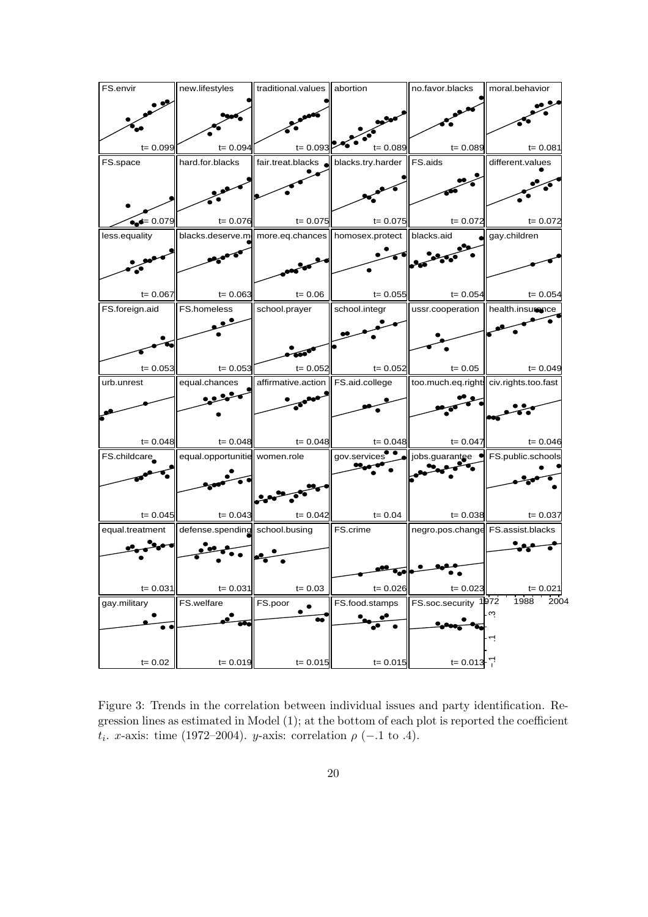

Figure 3: Trends in the correlation between individual issues and party identification. Regression lines as estimated in Model (1); at the bottom of each plot is reported the coefficient  $t_i$ . *x*-axis: time (1972–2004). *y*-axis: correlation  $\rho$  (-.1 to .4).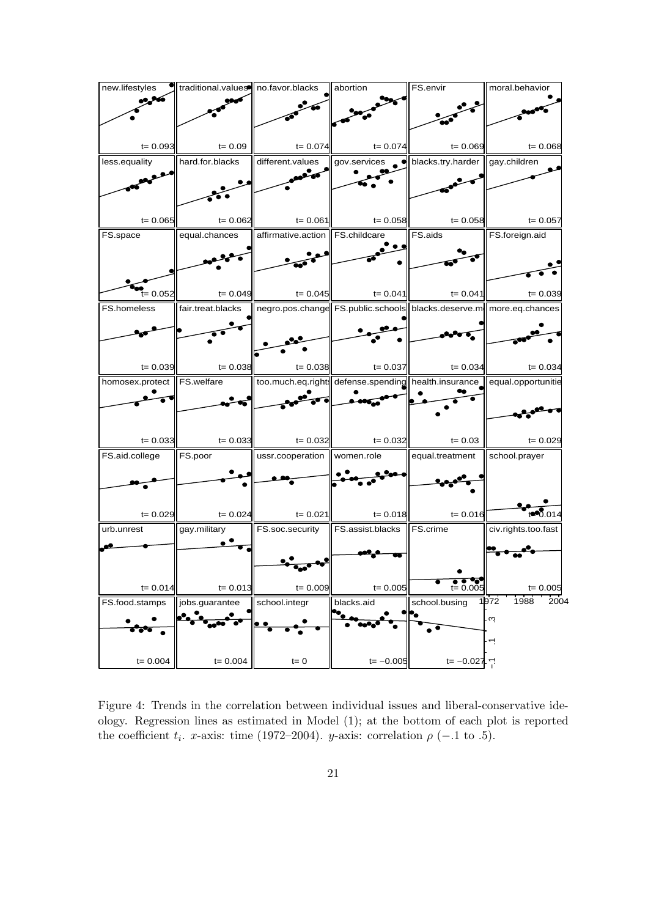

Figure 4: Trends in the correlation between individual issues and liberal-conservative ideology. Regression lines as estimated in Model (1); at the bottom of each plot is reported the coefficient  $t_i$ . x-axis: time (1972–2004). y-axis: correlation  $\rho$  (-.1 to .5).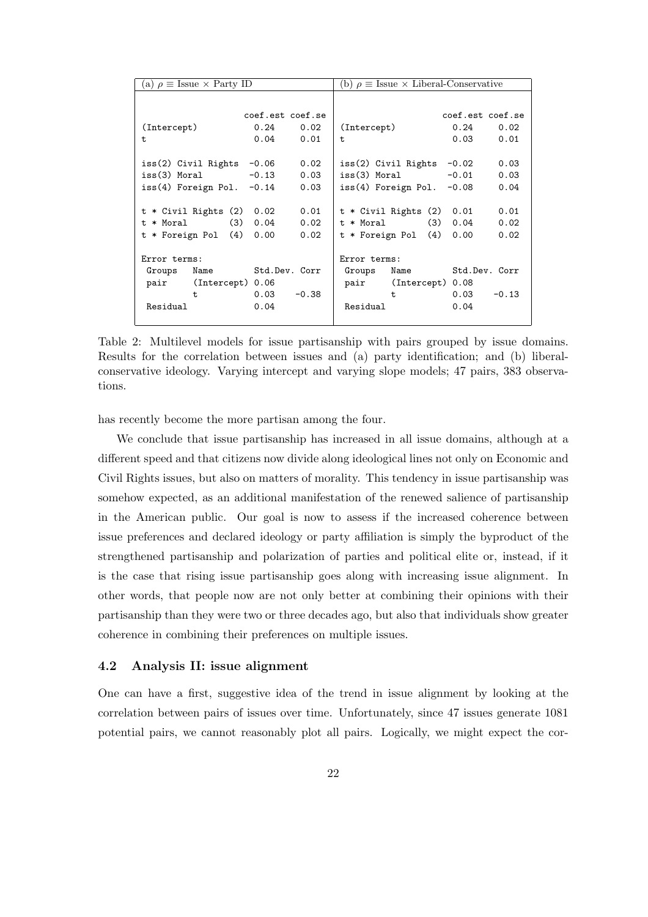| (a) $\rho \equiv$ Issue $\times$ Party ID | (b) $\rho \equiv$ Issue $\times$ Liberal-Conservative |                  |                          |     |         |                  |  |
|-------------------------------------------|-------------------------------------------------------|------------------|--------------------------|-----|---------|------------------|--|
|                                           |                                                       |                  |                          |     |         |                  |  |
|                                           |                                                       | coef.est coef.se |                          |     |         | coef.est coef.se |  |
| (Intercept)                               | 0.24                                                  | 0.02             | (Intercept)              |     | 0.24    | 0.02             |  |
| t                                         | 0.04                                                  | 0.01             | t                        |     | 0.03    | 0.01             |  |
|                                           |                                                       |                  |                          |     |         |                  |  |
| iss(2) Civil Rights                       | $-0.06$                                               | 0.02             | iss(2) Civil Rights      |     | $-0.02$ | 0.03             |  |
| iss(3) Moral<br>$-0.13$                   |                                                       | 0.03             | iss(3) Moral             |     | $-0.01$ | 0.03             |  |
| iss $(4)$ Foreign Pol. $-0.14$            |                                                       | 0.03             | iss(4) Foreign Pol.      |     | $-0.08$ | 0.04             |  |
|                                           |                                                       |                  |                          |     |         |                  |  |
| $t *$ Civil Rights $(2)$                  | 0.02                                                  | 0.01             | $t *$ Civil Rights $(2)$ |     | 0.01    | 0.01             |  |
| (3)<br>t * Moral                          | 0.04                                                  | 0.02             | t * Moral                | (3) | 0.04    | 0.02             |  |
| (4)<br>t * Foreign Pol                    | 0.00                                                  | 0.02             | t * Foreign Pol          | (4) | 0.00    | 0.02             |  |
|                                           |                                                       |                  |                          |     |         |                  |  |
| Error terms:                              |                                                       |                  | Error terms:             |     |         |                  |  |
| Name<br>Groups                            |                                                       | Std.Dev. Corr    | Name<br>Groups           |     |         | Std.Dev. Corr    |  |
| pair (Intercept) 0.06                     |                                                       |                  | pair (Intercept) 0.08    |     |         |                  |  |
| $\mathbf t$                               | 0.03                                                  | $-0.38$          | $\mathbf t$              |     | 0.03    | $-0.13$          |  |
| Residual                                  | 0.04                                                  |                  | Residual                 |     | 0.04    |                  |  |
|                                           |                                                       |                  |                          |     |         |                  |  |

Table 2: Multilevel models for issue partisanship with pairs grouped by issue domains. Results for the correlation between issues and (a) party identification; and (b) liberalconservative ideology. Varying intercept and varying slope models; 47 pairs, 383 observations.

has recently become the more partisan among the four.

We conclude that issue partisanship has increased in all issue domains, although at a different speed and that citizens now divide along ideological lines not only on Economic and Civil Rights issues, but also on matters of morality. This tendency in issue partisanship was somehow expected, as an additional manifestation of the renewed salience of partisanship in the American public. Our goal is now to assess if the increased coherence between issue preferences and declared ideology or party affiliation is simply the byproduct of the strengthened partisanship and polarization of parties and political elite or, instead, if it is the case that rising issue partisanship goes along with increasing issue alignment. In other words, that people now are not only better at combining their opinions with their partisanship than they were two or three decades ago, but also that individuals show greater coherence in combining their preferences on multiple issues.

## 4.2 Analysis II: issue alignment

One can have a first, suggestive idea of the trend in issue alignment by looking at the correlation between pairs of issues over time. Unfortunately, since 47 issues generate 1081 potential pairs, we cannot reasonably plot all pairs. Logically, we might expect the cor-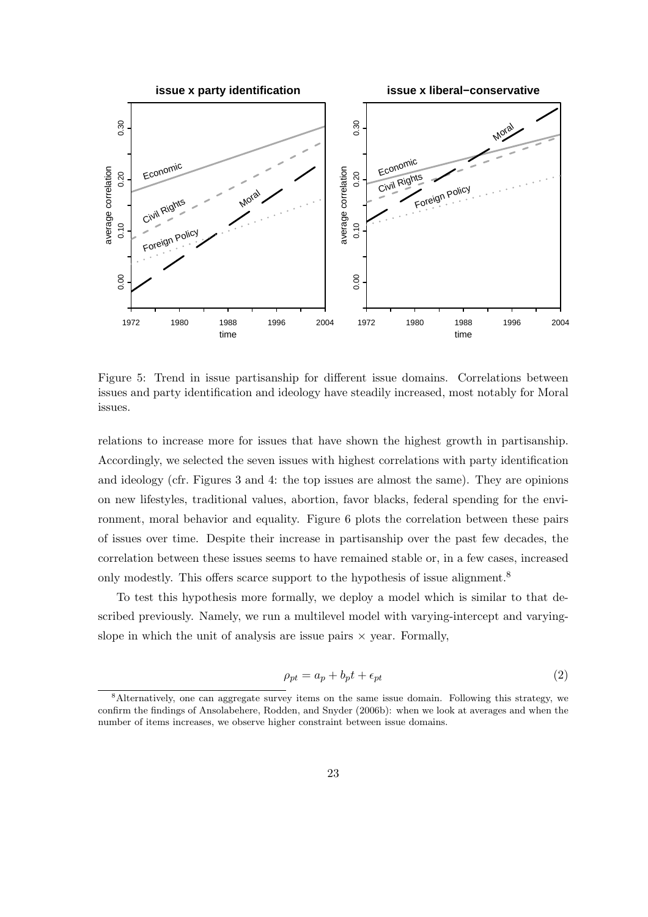

Figure 5: Trend in issue partisanship for different issue domains. Correlations between issues and party identification and ideology have steadily increased, most notably for Moral issues.

relations to increase more for issues that have shown the highest growth in partisanship. Accordingly, we selected the seven issues with highest correlations with party identification and ideology (cfr. Figures 3 and 4: the top issues are almost the same). They are opinions on new lifestyles, traditional values, abortion, favor blacks, federal spending for the environment, moral behavior and equality. Figure 6 plots the correlation between these pairs of issues over time. Despite their increase in partisanship over the past few decades, the correlation between these issues seems to have remained stable or, in a few cases, increased only modestly. This offers scarce support to the hypothesis of issue alignment.<sup>8</sup>

To test this hypothesis more formally, we deploy a model which is similar to that described previously. Namely, we run a multilevel model with varying-intercept and varyingslope in which the unit of analysis are issue pairs  $\times$  year. Formally,

$$
\rho_{pt} = a_p + b_p t + \epsilon_{pt} \tag{2}
$$

<sup>&</sup>lt;sup>8</sup>Alternatively, one can aggregate survey items on the same issue domain. Following this strategy, we confirm the findings of Ansolabehere, Rodden, and Snyder (2006b): when we look at averages and when the number of items increases, we observe higher constraint between issue domains.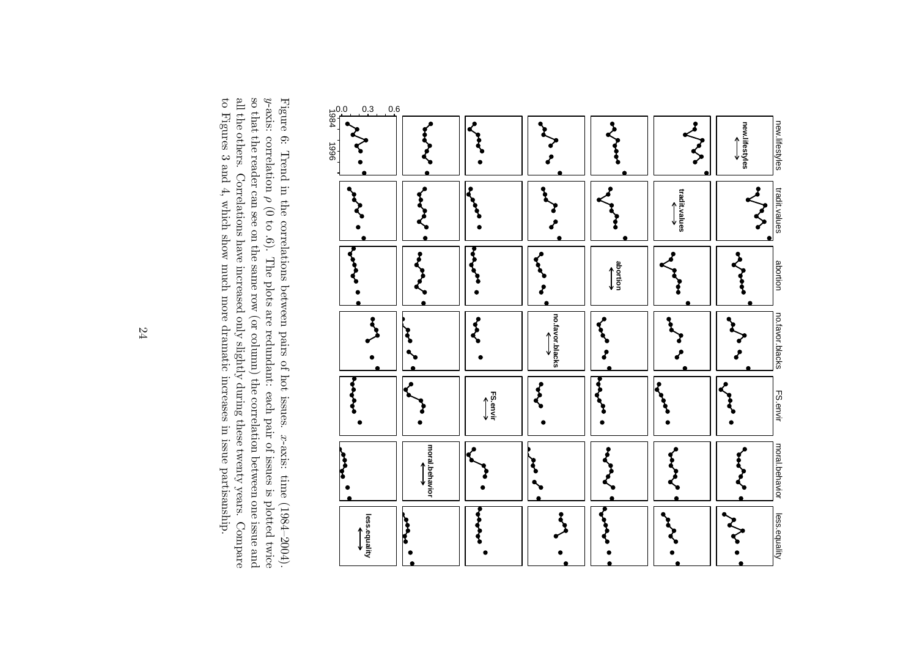![](_page_23_Figure_0.jpeg)

to Figures 3 and 4, which show much more dramatic increases in issue partisanship. so that the reader can see on the same row (or column) the correlation between one issue and all the others. Correlations have increased only slightly during these twenty years. Compare to Figures 3 and 4, which show much more dramatic increases in all the others. Correlations have increased only slightly during these twenty years. Compare so that the reader can see on the same row (or column) the correlation between one issue and  $\widetilde{\mathscr{C}}$ Figure 6: Trend in the correlations between pairs of hot issues. -axis: correlation ρ (0 to .6). The plots are redundant: each pair of issues is plotted twice  $x$ -axis: time  $(1984-2004)$ . issue partisanship.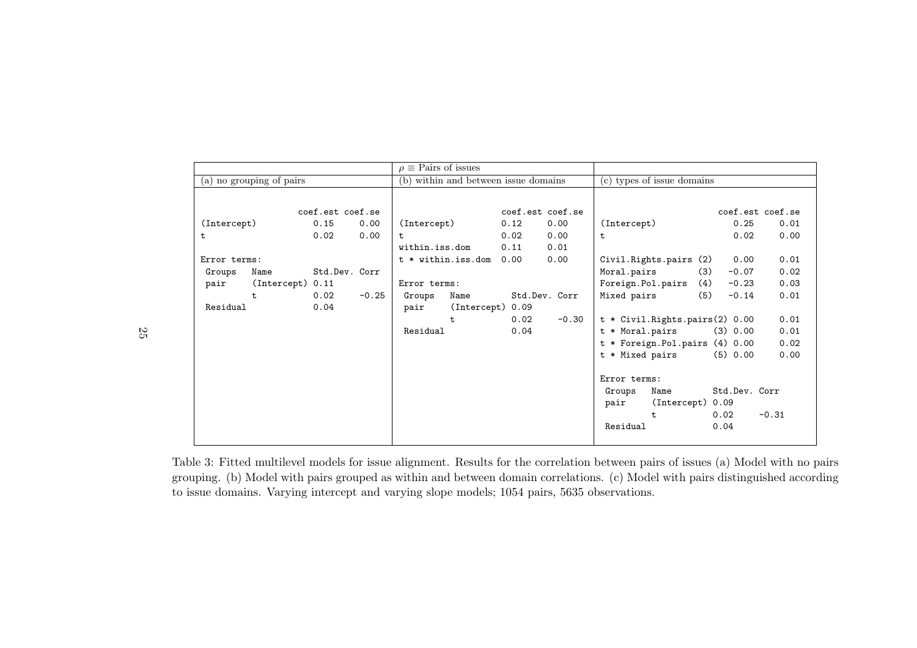|                          |                  |               | $\rho \equiv$ Pairs of issues        |                |                    |                            |               |                                  |                  |         |
|--------------------------|------------------|---------------|--------------------------------------|----------------|--------------------|----------------------------|---------------|----------------------------------|------------------|---------|
| (a) no grouping of pairs |                  |               | (b) within and between issue domains |                |                    | (c) types of issue domains |               |                                  |                  |         |
|                          |                  |               |                                      |                |                    |                            |               |                                  |                  |         |
| coef.est coef.se         |                  |               |                                      |                |                    | coef.est coef.se           |               |                                  | coef.est coef.se |         |
| (Intercept)              |                  | 0.15          | 0.00                                 | (Intercept)    |                    | 0.12                       | 0.00          | (Intercept)                      | 0.25             | 0.01    |
| $\mathbf t$              |                  | 0.02          | 0.00                                 | $\ddagger$     |                    | 0.02                       | 0.00          | $\mathbf t$                      | 0.02             | 0.00    |
|                          |                  |               |                                      | within.iss.dom |                    | 0.11                       | 0.01          |                                  |                  |         |
| Error terms:             |                  |               |                                      |                | t * within.iss.dom | 0.00                       | 0.00          | Civil.Rights.pairs (2)           | 0.00             | 0.01    |
| Groups                   | Name             | Std.Dev. Corr |                                      |                |                    |                            |               | Moral.pairs                      | (3)<br>$-0.07$   | 0.02    |
| pair                     | (Intercept) 0.11 |               |                                      | Error terms:   |                    |                            |               | Foreign.Pol.pairs                | (4)<br>$-0.23$   | 0.03    |
|                          | $\mathbf t$      | 0.02          | $-0.25$                              | Groups         | Name               |                            | Std.Dev. Corr | Mixed pairs                      | (5)<br>$-0.14$   | 0.01    |
| 0.04<br>Residual         |                  |               | pair                                 | (Intercept)    | 0.09               |                            |               |                                  |                  |         |
|                          |                  |               |                                      |                | t                  | 0.02                       | $-0.30$       | $t * Civil.Rights.pairs(2) 0.00$ |                  | 0.01    |
|                          |                  |               |                                      | Residual       |                    | 0.04                       |               | t * Moral.pairs                  | (3) 0.00         | 0.01    |
|                          |                  |               |                                      |                |                    |                            |               | t * Foreign. Pol. pairs (4) 0.00 |                  | 0.02    |
|                          |                  |               |                                      |                |                    |                            |               | (5) 0.00<br>t * Mixed pairs      |                  | 0.00    |
|                          |                  |               |                                      |                |                    |                            |               |                                  |                  |         |
|                          |                  |               |                                      |                |                    |                            | Error terms:  |                                  |                  |         |
|                          |                  |               |                                      |                |                    |                            |               | Groups<br>Name                   | Std.Dev. Corr    |         |
|                          |                  |               |                                      |                |                    |                            |               | (Intercept)<br>pair              | 0.09             |         |
|                          |                  |               |                                      |                |                    |                            |               | $\mathbf t$                      | 0.02             | $-0.31$ |
|                          |                  |               |                                      |                |                    |                            |               | Residual                         | 0.04             |         |
|                          |                  |               |                                      |                |                    |                            |               |                                  |                  |         |

Table 3: Fitted multilevel models for issue alignment. Results for the correlation between pairs of issues (a) Model with no pairs grouping. (b) Model with pairs grouped as within and between domain correlations. (c) Model with pairs distinguished according to issue domains. Varying intercept and varying slope models; <sup>1054</sup> pairs, <sup>5635</sup> observations.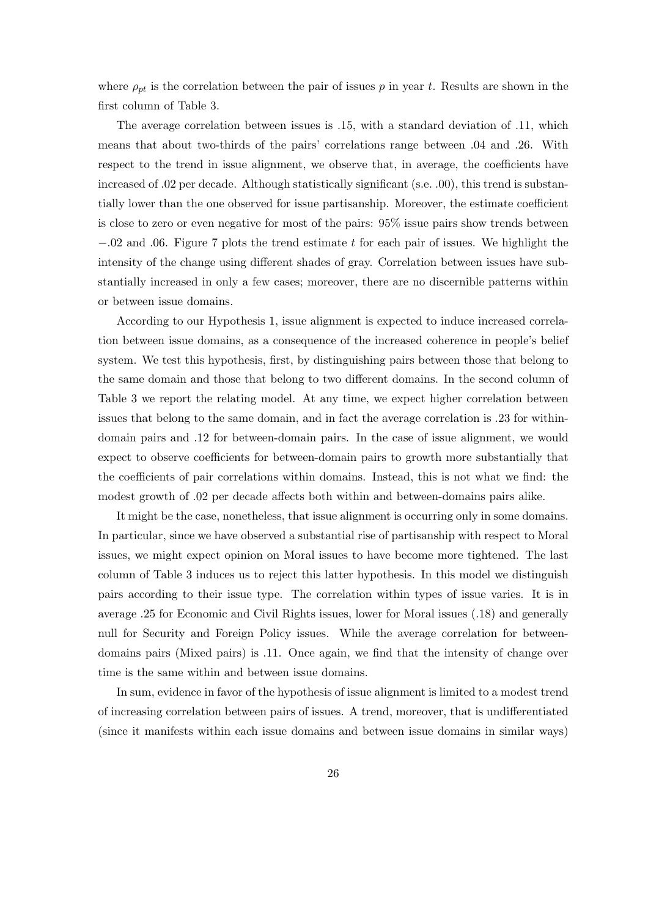where  $\rho_{pt}$  is the correlation between the pair of issues p in year t. Results are shown in the first column of Table 3.

The average correlation between issues is .15, with a standard deviation of .11, which means that about two-thirds of the pairs' correlations range between .04 and .26. With respect to the trend in issue alignment, we observe that, in average, the coefficients have increased of .02 per decade. Although statistically significant (s.e. .00), this trend is substantially lower than the one observed for issue partisanship. Moreover, the estimate coefficient is close to zero or even negative for most of the pairs: 95% issue pairs show trends between −.02 and .06. Figure 7 plots the trend estimate t for each pair of issues. We highlight the intensity of the change using different shades of gray. Correlation between issues have substantially increased in only a few cases; moreover, there are no discernible patterns within or between issue domains.

According to our Hypothesis 1, issue alignment is expected to induce increased correlation between issue domains, as a consequence of the increased coherence in people's belief system. We test this hypothesis, first, by distinguishing pairs between those that belong to the same domain and those that belong to two different domains. In the second column of Table 3 we report the relating model. At any time, we expect higher correlation between issues that belong to the same domain, and in fact the average correlation is .23 for withindomain pairs and .12 for between-domain pairs. In the case of issue alignment, we would expect to observe coefficients for between-domain pairs to growth more substantially that the coefficients of pair correlations within domains. Instead, this is not what we find: the modest growth of .02 per decade affects both within and between-domains pairs alike.

It might be the case, nonetheless, that issue alignment is occurring only in some domains. In particular, since we have observed a substantial rise of partisanship with respect to Moral issues, we might expect opinion on Moral issues to have become more tightened. The last column of Table 3 induces us to reject this latter hypothesis. In this model we distinguish pairs according to their issue type. The correlation within types of issue varies. It is in average .25 for Economic and Civil Rights issues, lower for Moral issues (.18) and generally null for Security and Foreign Policy issues. While the average correlation for betweendomains pairs (Mixed pairs) is .11. Once again, we find that the intensity of change over time is the same within and between issue domains.

In sum, evidence in favor of the hypothesis of issue alignment is limited to a modest trend of increasing correlation between pairs of issues. A trend, moreover, that is undifferentiated (since it manifests within each issue domains and between issue domains in similar ways)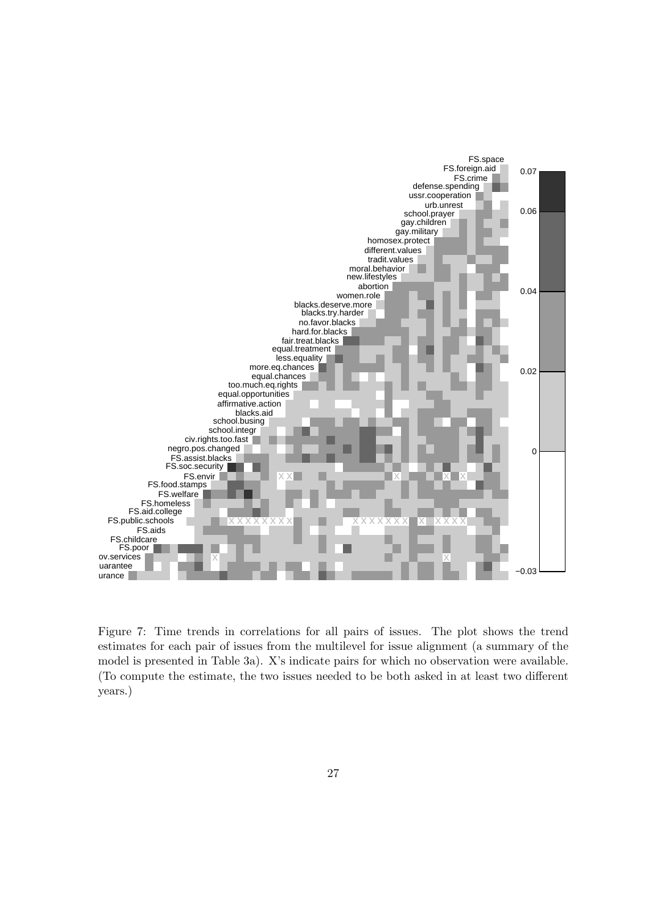![](_page_26_Figure_0.jpeg)

Figure 7: Time trends in correlations for all pairs of issues. The plot shows the trend estimates for each pair of issues from the multilevel for issue alignment (a summary of the model is presented in Table 3a). X's indicate pairs for which no observation were available. (To compute the estimate, the two issues needed to be both asked in at least two different years.)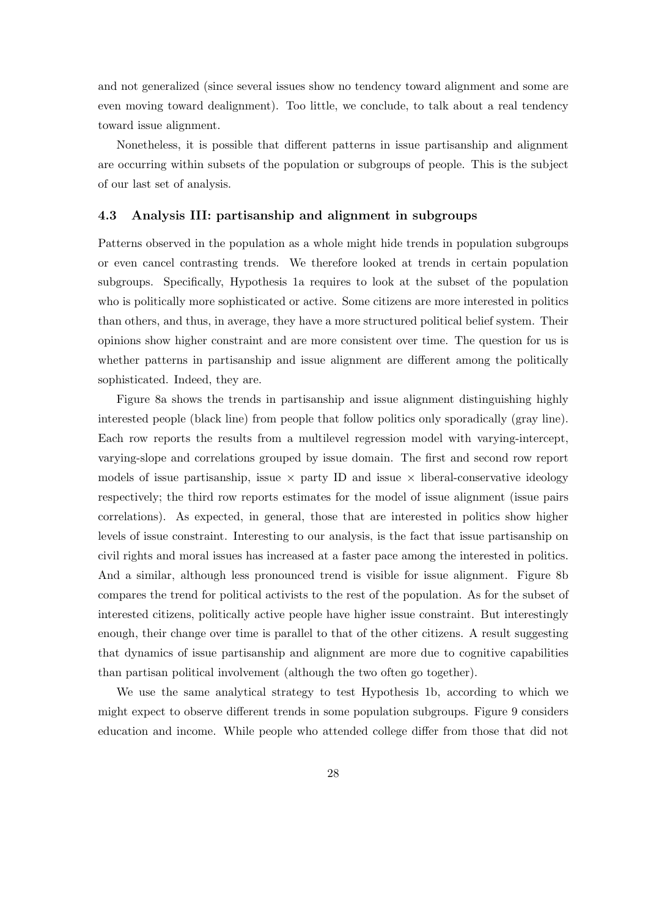and not generalized (since several issues show no tendency toward alignment and some are even moving toward dealignment). Too little, we conclude, to talk about a real tendency toward issue alignment.

Nonetheless, it is possible that different patterns in issue partisanship and alignment are occurring within subsets of the population or subgroups of people. This is the subject of our last set of analysis.

## 4.3 Analysis III: partisanship and alignment in subgroups

Patterns observed in the population as a whole might hide trends in population subgroups or even cancel contrasting trends. We therefore looked at trends in certain population subgroups. Specifically, Hypothesis 1a requires to look at the subset of the population who is politically more sophisticated or active. Some citizens are more interested in politics than others, and thus, in average, they have a more structured political belief system. Their opinions show higher constraint and are more consistent over time. The question for us is whether patterns in partisanship and issue alignment are different among the politically sophisticated. Indeed, they are.

Figure 8a shows the trends in partisanship and issue alignment distinguishing highly interested people (black line) from people that follow politics only sporadically (gray line). Each row reports the results from a multilevel regression model with varying-intercept, varying-slope and correlations grouped by issue domain. The first and second row report models of issue partisanship, issue  $\times$  party ID and issue  $\times$  liberal-conservative ideology respectively; the third row reports estimates for the model of issue alignment (issue pairs correlations). As expected, in general, those that are interested in politics show higher levels of issue constraint. Interesting to our analysis, is the fact that issue partisanship on civil rights and moral issues has increased at a faster pace among the interested in politics. And a similar, although less pronounced trend is visible for issue alignment. Figure 8b compares the trend for political activists to the rest of the population. As for the subset of interested citizens, politically active people have higher issue constraint. But interestingly enough, their change over time is parallel to that of the other citizens. A result suggesting that dynamics of issue partisanship and alignment are more due to cognitive capabilities than partisan political involvement (although the two often go together).

We use the same analytical strategy to test Hypothesis 1b, according to which we might expect to observe different trends in some population subgroups. Figure 9 considers education and income. While people who attended college differ from those that did not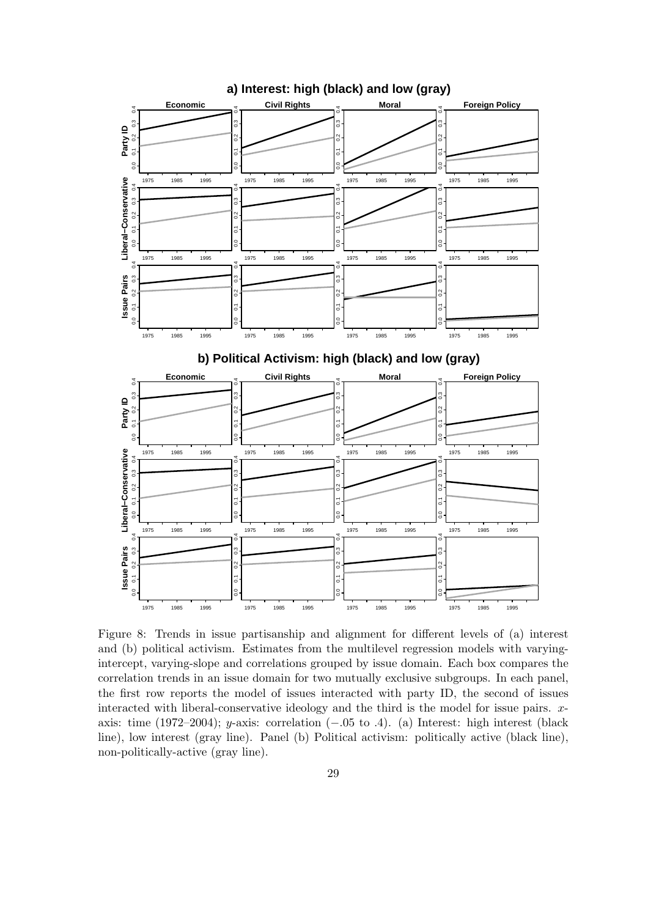![](_page_28_Figure_0.jpeg)

Figure 8: Trends in issue partisanship and alignment for different levels of (a) interest and (b) political activism. Estimates from the multilevel regression models with varyingintercept, varying-slope and correlations grouped by issue domain. Each box compares the correlation trends in an issue domain for two mutually exclusive subgroups. In each panel, the first row reports the model of issues interacted with party ID, the second of issues interacted with liberal-conservative ideology and the third is the model for issue pairs. xaxis: time (1972–2004); y-axis: correlation (−.05 to .4). (a) Interest: high interest (black line), low interest (gray line). Panel (b) Political activism: politically active (black line), non-politically-active (gray line).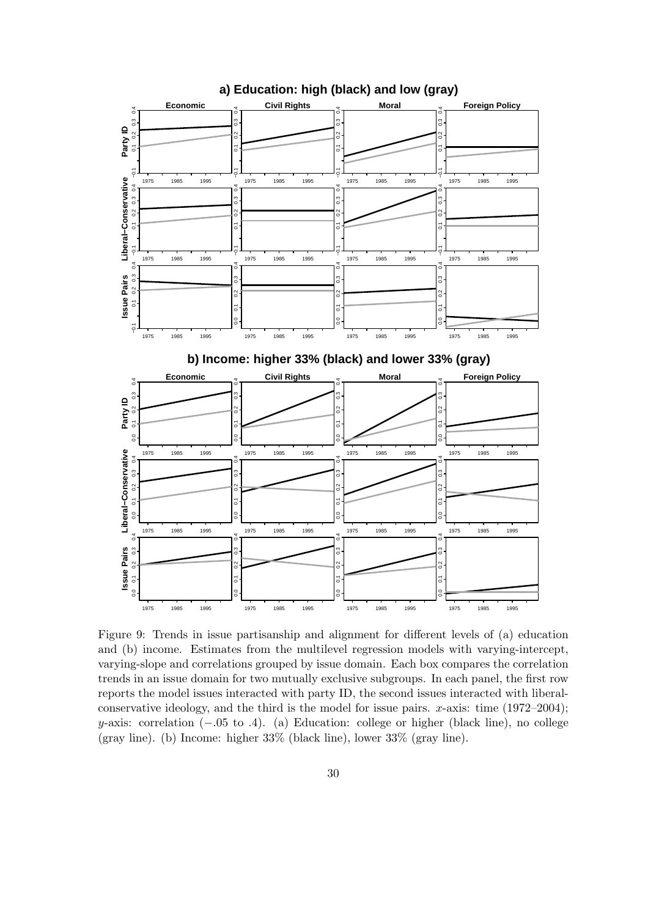![](_page_29_Figure_0.jpeg)

Figure 9: Trends in issue partisanship and alignment for different levels of (a) education and (b) income. Estimates from the multilevel regression models with varying-intercept, varying-slope and correlations grouped by issue domain. Each box compares the correlation trends in an issue domain for two mutually exclusive subgroups. In each panel, the first row reports the model issues interacted with party ID, the second issues interacted with liberalconservative ideology, and the third is the model for issue pairs.  $x$ -axis: time (1972–2004); y-axis: correlation (−.05 to .4). (a) Education: college or higher (black line), no college (gray line). (b) Income: higher 33% (black line), lower 33% (gray line).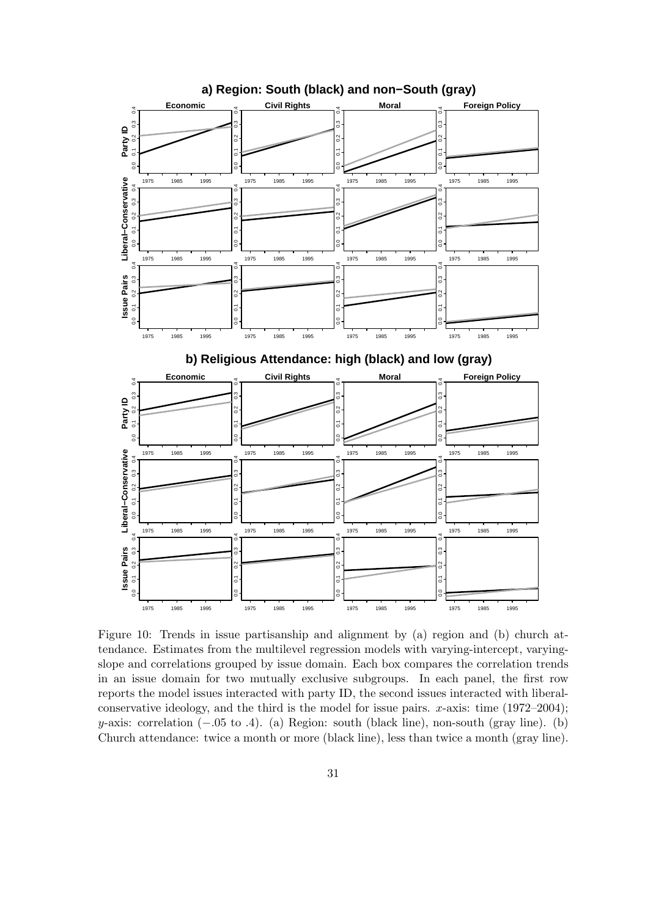![](_page_30_Figure_0.jpeg)

Figure 10: Trends in issue partisanship and alignment by (a) region and (b) church attendance. Estimates from the multilevel regression models with varying-intercept, varyingslope and correlations grouped by issue domain. Each box compares the correlation trends in an issue domain for two mutually exclusive subgroups. In each panel, the first row reports the model issues interacted with party ID, the second issues interacted with liberalconservative ideology, and the third is the model for issue pairs.  $x$ -axis: time (1972–2004); y-axis: correlation  $(-.05 \text{ to } .4)$ . (a) Region: south (black line), non-south (gray line). (b) Church attendance: twice a month or more (black line), less than twice a month (gray line).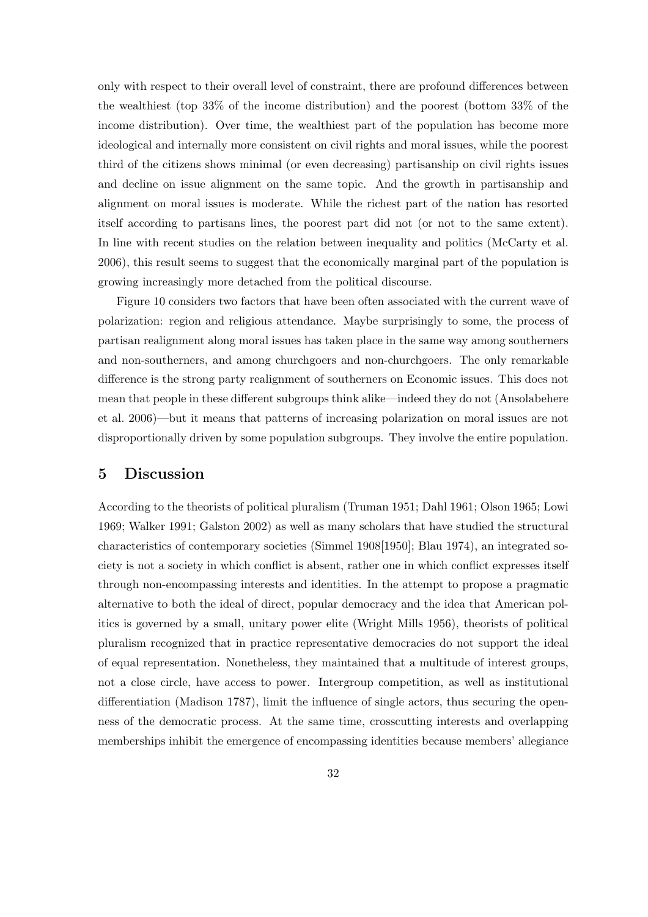only with respect to their overall level of constraint, there are profound differences between the wealthiest (top 33% of the income distribution) and the poorest (bottom 33% of the income distribution). Over time, the wealthiest part of the population has become more ideological and internally more consistent on civil rights and moral issues, while the poorest third of the citizens shows minimal (or even decreasing) partisanship on civil rights issues and decline on issue alignment on the same topic. And the growth in partisanship and alignment on moral issues is moderate. While the richest part of the nation has resorted itself according to partisans lines, the poorest part did not (or not to the same extent). In line with recent studies on the relation between inequality and politics (McCarty et al. 2006), this result seems to suggest that the economically marginal part of the population is growing increasingly more detached from the political discourse.

Figure 10 considers two factors that have been often associated with the current wave of polarization: region and religious attendance. Maybe surprisingly to some, the process of partisan realignment along moral issues has taken place in the same way among southerners and non-southerners, and among churchgoers and non-churchgoers. The only remarkable difference is the strong party realignment of southerners on Economic issues. This does not mean that people in these different subgroups think alike—indeed they do not (Ansolabehere et al. 2006)—but it means that patterns of increasing polarization on moral issues are not disproportionally driven by some population subgroups. They involve the entire population.

# 5 Discussion

According to the theorists of political pluralism (Truman 1951; Dahl 1961; Olson 1965; Lowi 1969; Walker 1991; Galston 2002) as well as many scholars that have studied the structural characteristics of contemporary societies (Simmel 1908[1950]; Blau 1974), an integrated society is not a society in which conflict is absent, rather one in which conflict expresses itself through non-encompassing interests and identities. In the attempt to propose a pragmatic alternative to both the ideal of direct, popular democracy and the idea that American politics is governed by a small, unitary power elite (Wright Mills 1956), theorists of political pluralism recognized that in practice representative democracies do not support the ideal of equal representation. Nonetheless, they maintained that a multitude of interest groups, not a close circle, have access to power. Intergroup competition, as well as institutional differentiation (Madison 1787), limit the influence of single actors, thus securing the openness of the democratic process. At the same time, crosscutting interests and overlapping memberships inhibit the emergence of encompassing identities because members' allegiance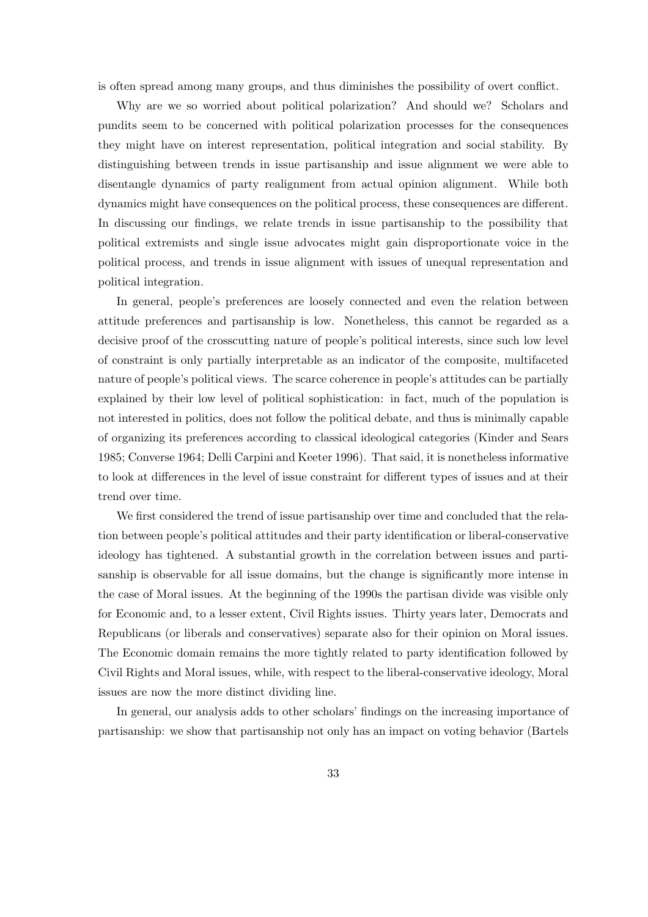is often spread among many groups, and thus diminishes the possibility of overt conflict.

Why are we so worried about political polarization? And should we? Scholars and pundits seem to be concerned with political polarization processes for the consequences they might have on interest representation, political integration and social stability. By distinguishing between trends in issue partisanship and issue alignment we were able to disentangle dynamics of party realignment from actual opinion alignment. While both dynamics might have consequences on the political process, these consequences are different. In discussing our findings, we relate trends in issue partisanship to the possibility that political extremists and single issue advocates might gain disproportionate voice in the political process, and trends in issue alignment with issues of unequal representation and political integration.

In general, people's preferences are loosely connected and even the relation between attitude preferences and partisanship is low. Nonetheless, this cannot be regarded as a decisive proof of the crosscutting nature of people's political interests, since such low level of constraint is only partially interpretable as an indicator of the composite, multifaceted nature of people's political views. The scarce coherence in people's attitudes can be partially explained by their low level of political sophistication: in fact, much of the population is not interested in politics, does not follow the political debate, and thus is minimally capable of organizing its preferences according to classical ideological categories (Kinder and Sears 1985; Converse 1964; Delli Carpini and Keeter 1996). That said, it is nonetheless informative to look at differences in the level of issue constraint for different types of issues and at their trend over time.

We first considered the trend of issue partisanship over time and concluded that the relation between people's political attitudes and their party identification or liberal-conservative ideology has tightened. A substantial growth in the correlation between issues and partisanship is observable for all issue domains, but the change is significantly more intense in the case of Moral issues. At the beginning of the 1990s the partisan divide was visible only for Economic and, to a lesser extent, Civil Rights issues. Thirty years later, Democrats and Republicans (or liberals and conservatives) separate also for their opinion on Moral issues. The Economic domain remains the more tightly related to party identification followed by Civil Rights and Moral issues, while, with respect to the liberal-conservative ideology, Moral issues are now the more distinct dividing line.

In general, our analysis adds to other scholars' findings on the increasing importance of partisanship: we show that partisanship not only has an impact on voting behavior (Bartels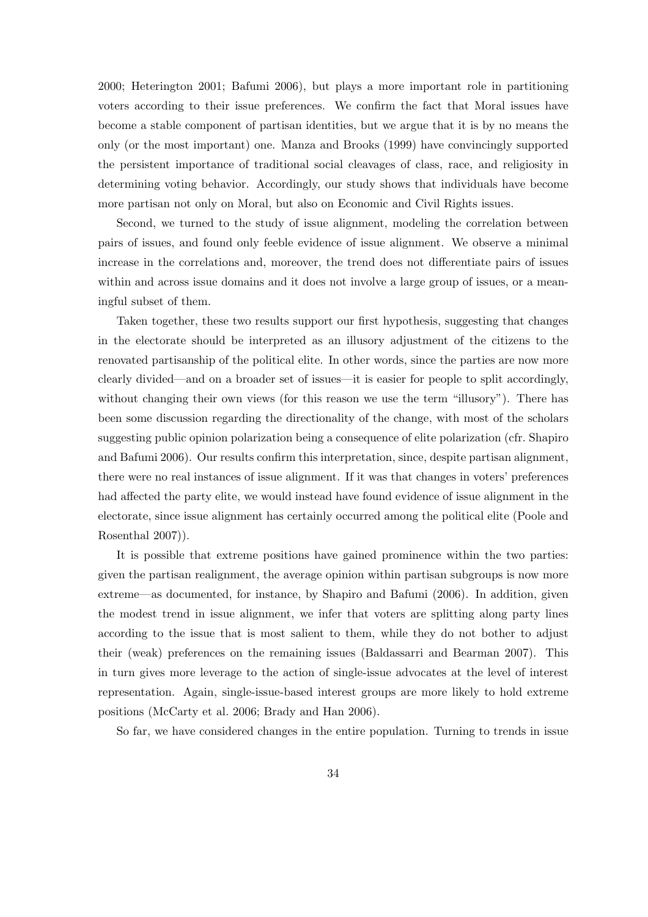2000; Heterington 2001; Bafumi 2006), but plays a more important role in partitioning voters according to their issue preferences. We confirm the fact that Moral issues have become a stable component of partisan identities, but we argue that it is by no means the only (or the most important) one. Manza and Brooks (1999) have convincingly supported the persistent importance of traditional social cleavages of class, race, and religiosity in determining voting behavior. Accordingly, our study shows that individuals have become more partisan not only on Moral, but also on Economic and Civil Rights issues.

Second, we turned to the study of issue alignment, modeling the correlation between pairs of issues, and found only feeble evidence of issue alignment. We observe a minimal increase in the correlations and, moreover, the trend does not differentiate pairs of issues within and across issue domains and it does not involve a large group of issues, or a meaningful subset of them.

Taken together, these two results support our first hypothesis, suggesting that changes in the electorate should be interpreted as an illusory adjustment of the citizens to the renovated partisanship of the political elite. In other words, since the parties are now more clearly divided—and on a broader set of issues—it is easier for people to split accordingly, without changing their own views (for this reason we use the term "illusory"). There has been some discussion regarding the directionality of the change, with most of the scholars suggesting public opinion polarization being a consequence of elite polarization (cfr. Shapiro and Bafumi 2006). Our results confirm this interpretation, since, despite partisan alignment, there were no real instances of issue alignment. If it was that changes in voters' preferences had affected the party elite, we would instead have found evidence of issue alignment in the electorate, since issue alignment has certainly occurred among the political elite (Poole and Rosenthal 2007)).

It is possible that extreme positions have gained prominence within the two parties: given the partisan realignment, the average opinion within partisan subgroups is now more extreme—as documented, for instance, by Shapiro and Bafumi (2006). In addition, given the modest trend in issue alignment, we infer that voters are splitting along party lines according to the issue that is most salient to them, while they do not bother to adjust their (weak) preferences on the remaining issues (Baldassarri and Bearman 2007). This in turn gives more leverage to the action of single-issue advocates at the level of interest representation. Again, single-issue-based interest groups are more likely to hold extreme positions (McCarty et al. 2006; Brady and Han 2006).

So far, we have considered changes in the entire population. Turning to trends in issue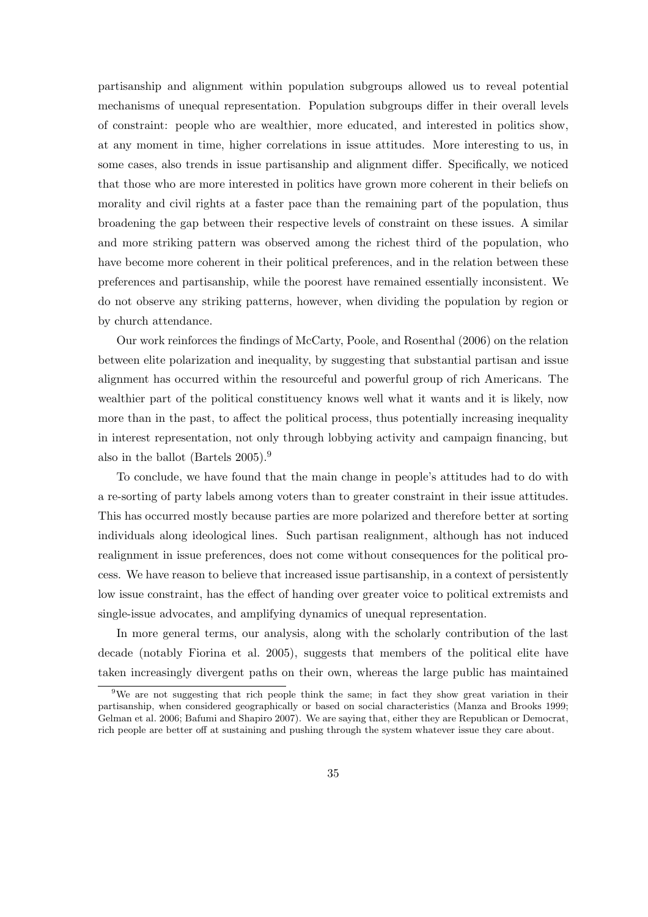partisanship and alignment within population subgroups allowed us to reveal potential mechanisms of unequal representation. Population subgroups differ in their overall levels of constraint: people who are wealthier, more educated, and interested in politics show, at any moment in time, higher correlations in issue attitudes. More interesting to us, in some cases, also trends in issue partisanship and alignment differ. Specifically, we noticed that those who are more interested in politics have grown more coherent in their beliefs on morality and civil rights at a faster pace than the remaining part of the population, thus broadening the gap between their respective levels of constraint on these issues. A similar and more striking pattern was observed among the richest third of the population, who have become more coherent in their political preferences, and in the relation between these preferences and partisanship, while the poorest have remained essentially inconsistent. We do not observe any striking patterns, however, when dividing the population by region or by church attendance.

Our work reinforces the findings of McCarty, Poole, and Rosenthal (2006) on the relation between elite polarization and inequality, by suggesting that substantial partisan and issue alignment has occurred within the resourceful and powerful group of rich Americans. The wealthier part of the political constituency knows well what it wants and it is likely, now more than in the past, to affect the political process, thus potentially increasing inequality in interest representation, not only through lobbying activity and campaign financing, but also in the ballot (Bartels 2005).<sup>9</sup>

To conclude, we have found that the main change in people's attitudes had to do with a re-sorting of party labels among voters than to greater constraint in their issue attitudes. This has occurred mostly because parties are more polarized and therefore better at sorting individuals along ideological lines. Such partisan realignment, although has not induced realignment in issue preferences, does not come without consequences for the political process. We have reason to believe that increased issue partisanship, in a context of persistently low issue constraint, has the effect of handing over greater voice to political extremists and single-issue advocates, and amplifying dynamics of unequal representation.

In more general terms, our analysis, along with the scholarly contribution of the last decade (notably Fiorina et al. 2005), suggests that members of the political elite have taken increasingly divergent paths on their own, whereas the large public has maintained

<sup>&</sup>lt;sup>9</sup>We are not suggesting that rich people think the same; in fact they show great variation in their partisanship, when considered geographically or based on social characteristics (Manza and Brooks 1999; Gelman et al. 2006; Bafumi and Shapiro 2007). We are saying that, either they are Republican or Democrat, rich people are better off at sustaining and pushing through the system whatever issue they care about.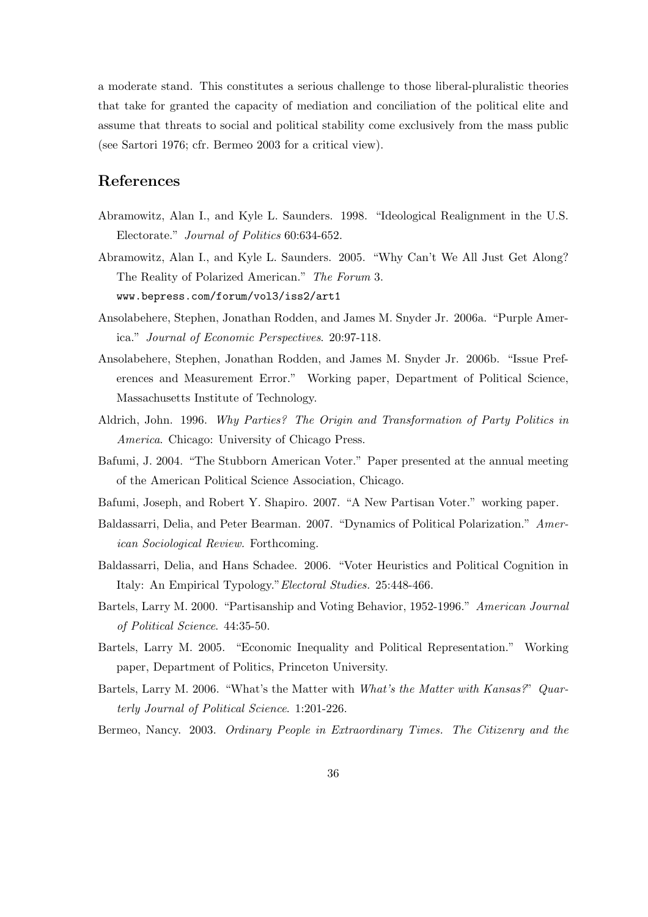a moderate stand. This constitutes a serious challenge to those liberal-pluralistic theories that take for granted the capacity of mediation and conciliation of the political elite and assume that threats to social and political stability come exclusively from the mass public (see Sartori 1976; cfr. Bermeo 2003 for a critical view).

# References

- Abramowitz, Alan I., and Kyle L. Saunders. 1998. "Ideological Realignment in the U.S. Electorate." Journal of Politics 60:634-652.
- Abramowitz, Alan I., and Kyle L. Saunders. 2005. "Why Can't We All Just Get Along? The Reality of Polarized American." The Forum 3. www.bepress.com/forum/vol3/iss2/art1
- Ansolabehere, Stephen, Jonathan Rodden, and James M. Snyder Jr. 2006a. "Purple America." Journal of Economic Perspectives. 20:97-118.
- Ansolabehere, Stephen, Jonathan Rodden, and James M. Snyder Jr. 2006b. "Issue Preferences and Measurement Error." Working paper, Department of Political Science, Massachusetts Institute of Technology.
- Aldrich, John. 1996. Why Parties? The Origin and Transformation of Party Politics in America. Chicago: University of Chicago Press.
- Bafumi, J. 2004. "The Stubborn American Voter." Paper presented at the annual meeting of the American Political Science Association, Chicago.
- Bafumi, Joseph, and Robert Y. Shapiro. 2007. "A New Partisan Voter." working paper.
- Baldassarri, Delia, and Peter Bearman. 2007. "Dynamics of Political Polarization." American Sociological Review. Forthcoming.
- Baldassarri, Delia, and Hans Schadee. 2006. "Voter Heuristics and Political Cognition in Italy: An Empirical Typology."Electoral Studies. 25:448-466.
- Bartels, Larry M. 2000. "Partisanship and Voting Behavior, 1952-1996." American Journal of Political Science. 44:35-50.
- Bartels, Larry M. 2005. "Economic Inequality and Political Representation." Working paper, Department of Politics, Princeton University.
- Bartels, Larry M. 2006. "What's the Matter with What's the Matter with Kansas?" Quarterly Journal of Political Science. 1:201-226.

Bermeo, Nancy. 2003. Ordinary People in Extraordinary Times. The Citizenry and the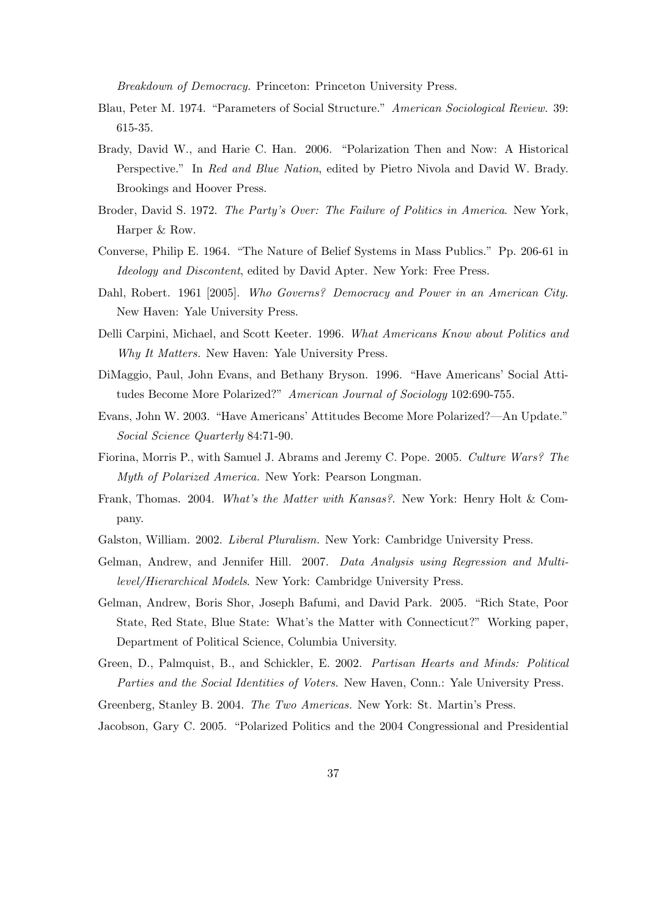Breakdown of Democracy. Princeton: Princeton University Press.

- Blau, Peter M. 1974. "Parameters of Social Structure." American Sociological Review. 39: 615-35.
- Brady, David W., and Harie C. Han. 2006. "Polarization Then and Now: A Historical Perspective." In Red and Blue Nation, edited by Pietro Nivola and David W. Brady. Brookings and Hoover Press.
- Broder, David S. 1972. The Party's Over: The Failure of Politics in America. New York, Harper & Row.
- Converse, Philip E. 1964. "The Nature of Belief Systems in Mass Publics." Pp. 206-61 in Ideology and Discontent, edited by David Apter. New York: Free Press.
- Dahl, Robert. 1961 [2005]. Who Governs? Democracy and Power in an American City. New Haven: Yale University Press.
- Delli Carpini, Michael, and Scott Keeter. 1996. What Americans Know about Politics and Why It Matters. New Haven: Yale University Press.
- DiMaggio, Paul, John Evans, and Bethany Bryson. 1996. "Have Americans' Social Attitudes Become More Polarized?" American Journal of Sociology 102:690-755.
- Evans, John W. 2003. "Have Americans' Attitudes Become More Polarized?—An Update." Social Science Quarterly 84:71-90.
- Fiorina, Morris P., with Samuel J. Abrams and Jeremy C. Pope. 2005. Culture Wars? The Myth of Polarized America. New York: Pearson Longman.
- Frank, Thomas. 2004. What's the Matter with Kansas?. New York: Henry Holt & Company.
- Galston, William. 2002. Liberal Pluralism. New York: Cambridge University Press.
- Gelman, Andrew, and Jennifer Hill. 2007. Data Analysis using Regression and Multilevel/Hierarchical Models. New York: Cambridge University Press.
- Gelman, Andrew, Boris Shor, Joseph Bafumi, and David Park. 2005. "Rich State, Poor State, Red State, Blue State: What's the Matter with Connecticut?" Working paper, Department of Political Science, Columbia University.
- Green, D., Palmquist, B., and Schickler, E. 2002. Partisan Hearts and Minds: Political Parties and the Social Identities of Voters. New Haven, Conn.: Yale University Press.

Greenberg, Stanley B. 2004. The Two Americas. New York: St. Martin's Press.

Jacobson, Gary C. 2005. "Polarized Politics and the 2004 Congressional and Presidential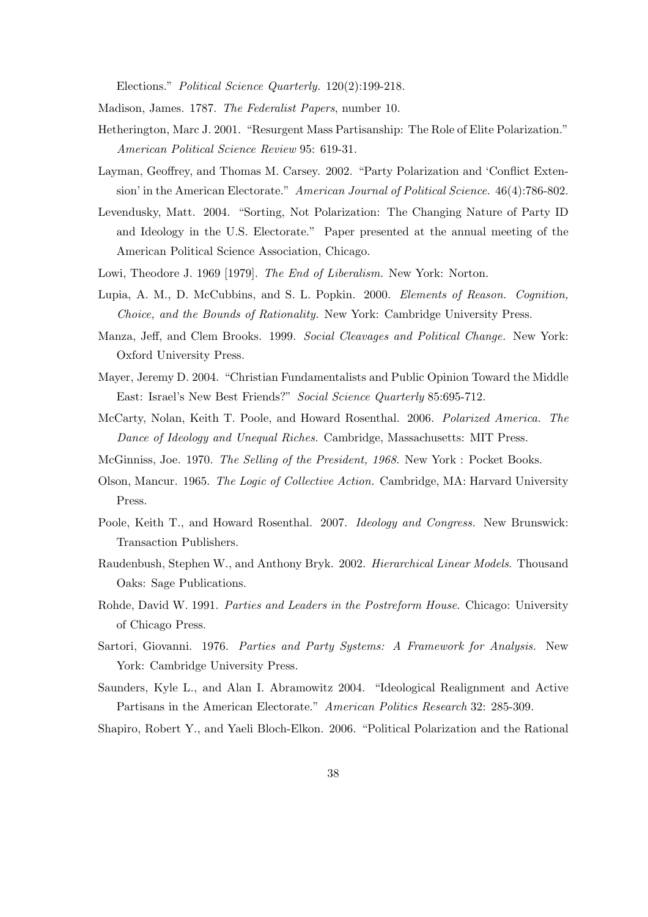Elections." Political Science Quarterly. 120(2):199-218.

Madison, James. 1787. The Federalist Papers, number 10.

- Hetherington, Marc J. 2001. "Resurgent Mass Partisanship: The Role of Elite Polarization." American Political Science Review 95: 619-31.
- Layman, Geoffrey, and Thomas M. Carsey. 2002. "Party Polarization and 'Conflict Extension' in the American Electorate." American Journal of Political Science. 46(4):786-802.
- Levendusky, Matt. 2004. "Sorting, Not Polarization: The Changing Nature of Party ID and Ideology in the U.S. Electorate." Paper presented at the annual meeting of the American Political Science Association, Chicago.
- Lowi, Theodore J. 1969 [1979]. The End of Liberalism. New York: Norton.
- Lupia, A. M., D. McCubbins, and S. L. Popkin. 2000. Elements of Reason. Cognition, Choice, and the Bounds of Rationality. New York: Cambridge University Press.
- Manza, Jeff, and Clem Brooks. 1999. Social Cleavages and Political Change. New York: Oxford University Press.
- Mayer, Jeremy D. 2004. "Christian Fundamentalists and Public Opinion Toward the Middle East: Israel's New Best Friends?" Social Science Quarterly 85:695-712.
- McCarty, Nolan, Keith T. Poole, and Howard Rosenthal. 2006. Polarized America. The Dance of Ideology and Unequal Riches. Cambridge, Massachusetts: MIT Press.
- McGinniss, Joe. 1970. The Selling of the President, 1968. New York : Pocket Books.
- Olson, Mancur. 1965. The Logic of Collective Action. Cambridge, MA: Harvard University Press.
- Poole, Keith T., and Howard Rosenthal. 2007. Ideology and Congress. New Brunswick: Transaction Publishers.
- Raudenbush, Stephen W., and Anthony Bryk. 2002. Hierarchical Linear Models. Thousand Oaks: Sage Publications.
- Rohde, David W. 1991. Parties and Leaders in the Postreform House. Chicago: University of Chicago Press.
- Sartori, Giovanni. 1976. Parties and Party Systems: A Framework for Analysis. New York: Cambridge University Press.
- Saunders, Kyle L., and Alan I. Abramowitz 2004. "Ideological Realignment and Active Partisans in the American Electorate." American Politics Research 32: 285-309.

Shapiro, Robert Y., and Yaeli Bloch-Elkon. 2006. "Political Polarization and the Rational